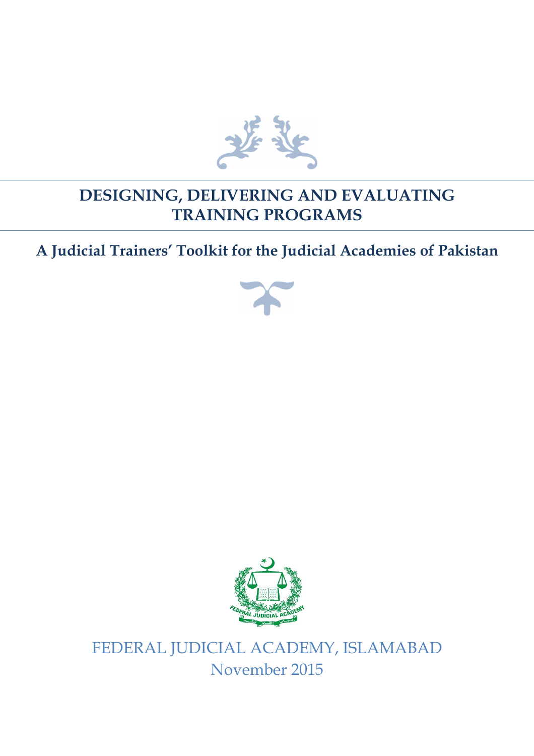

## **DESIGNING, DELIVERING AND EVALUATING TRAINING PROGRAMS**

## **A Judicial Trainers' Toolkit for the Judicial Academies of Pakistan**





FEDERAL JUDICIAL ACADEMY, ISLAMABAD November 2015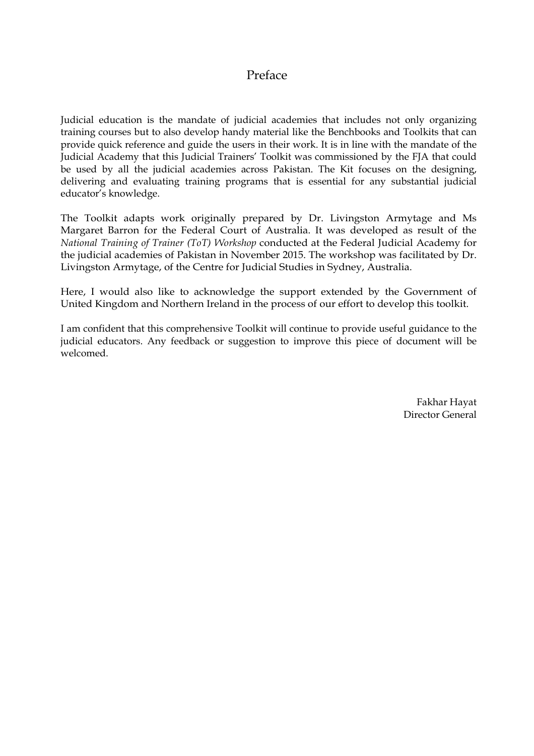## Preface

Judicial education is the mandate of judicial academies that includes not only organizing training courses but to also develop handy material like the Benchbooks and Toolkits that can provide quick reference and guide the users in their work. It is in line with the mandate of the Judicial Academy that this Judicial Trainers' Toolkit was commissioned by the FJA that could be used by all the judicial academies across Pakistan. The Kit focuses on the designing, delivering and evaluating training programs that is essential for any substantial judicial educator's knowledge.

The Toolkit adapts work originally prepared by Dr. Livingston Armytage and Ms Margaret Barron for the Federal Court of Australia. It was developed as result of the *National Training of Trainer (ToT) Workshop* conducted at the Federal Judicial Academy for the judicial academies of Pakistan in November 2015. The workshop was facilitated by Dr. Livingston Armytage, of the Centre for Judicial Studies in Sydney, Australia.

Here, I would also like to acknowledge the support extended by the Government of United Kingdom and Northern Ireland in the process of our effort to develop this toolkit.

I am confident that this comprehensive Toolkit will continue to provide useful guidance to the judicial educators. Any feedback or suggestion to improve this piece of document will be welcomed.

> Fakhar Hayat Director General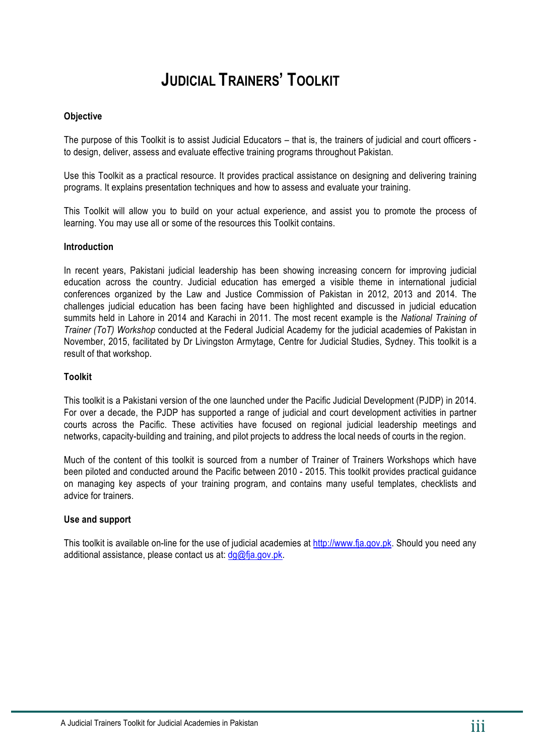## **JUDICIAL TRAINERS' TOOLKIT**

#### **Objective**

The purpose of this Toolkit is to assist Judicial Educators – that is, the trainers of judicial and court officers to design, deliver, assess and evaluate effective training programs throughout Pakistan.

Use this Toolkit as a practical resource. It provides practical assistance on designing and delivering training programs. It explains presentation techniques and how to assess and evaluate your training.

This Toolkit will allow you to build on your actual experience, and assist you to promote the process of learning. You may use all or some of the resources this Toolkit contains.

#### **Introduction**

In recent years, Pakistani judicial leadership has been showing increasing concern for improving judicial education across the country. Judicial education has emerged a visible theme in international judicial conferences organized by the Law and Justice Commission of Pakistan in 2012, 2013 and 2014. The challenges judicial education has been facing have been highlighted and discussed in judicial education summits held in Lahore in 2014 and Karachi in 2011. The most recent example is the *National Training of Trainer (ToT) Workshop* conducted at the Federal Judicial Academy for the judicial academies of Pakistan in November, 2015, facilitated by Dr Livingston Armytage, Centre for Judicial Studies, Sydney. This toolkit is a result of that workshop.

#### **Toolkit**

This toolkit is a Pakistani version of the one launched under the Pacific Judicial Development (PJDP) in 2014. For over a decade, the PJDP has supported a range of judicial and court development activities in partner courts across the Pacific. These activities have focused on regional judicial leadership meetings and networks, capacity-building and training, and pilot projects to address the local needs of courts in the region.

Much of the content of this toolkit is sourced from a number of Trainer of Trainers Workshops which have been piloted and conducted around the Pacific between 2010 - 2015. This toolkit provides practical guidance on managing key aspects of your training program, and contains many useful templates, checklists and advice for trainers.

#### **Use and support**

This toolkit is available on-line for the use of judicial academies at http://www.fja.gov.pk. Should you need any additional assistance, please contact us at:  $\frac{dq}{dt}$  a gov.pk.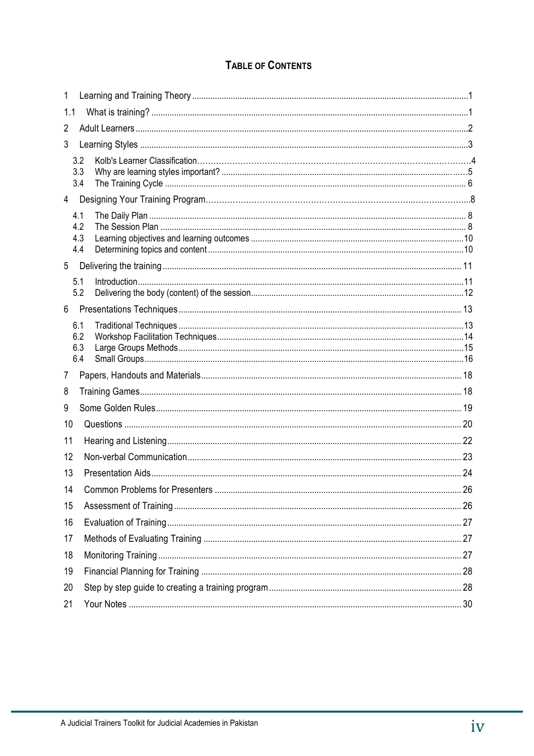## **TABLE OF CONTENTS**

| $\mathbf{1}$   |                          |  |  |  |  |  |  |
|----------------|--------------------------|--|--|--|--|--|--|
| 1.1            |                          |  |  |  |  |  |  |
| $\overline{2}$ |                          |  |  |  |  |  |  |
| 3              |                          |  |  |  |  |  |  |
|                | 3.2<br>3.3<br>3.4        |  |  |  |  |  |  |
|                |                          |  |  |  |  |  |  |
|                | 4.1<br>4.2<br>4.3<br>4.4 |  |  |  |  |  |  |
| 5              |                          |  |  |  |  |  |  |
|                | 5.1<br>5.2               |  |  |  |  |  |  |
| 6              |                          |  |  |  |  |  |  |
|                | 6.1<br>6.2<br>6.3<br>6.4 |  |  |  |  |  |  |
| 7              |                          |  |  |  |  |  |  |
| 8              |                          |  |  |  |  |  |  |
| 9              |                          |  |  |  |  |  |  |
| 10             |                          |  |  |  |  |  |  |
| 11             |                          |  |  |  |  |  |  |
| 12             |                          |  |  |  |  |  |  |
| 13             |                          |  |  |  |  |  |  |
| 14             |                          |  |  |  |  |  |  |
| 15             |                          |  |  |  |  |  |  |
| 16             |                          |  |  |  |  |  |  |
| 17             |                          |  |  |  |  |  |  |
| 18             |                          |  |  |  |  |  |  |
| 19             |                          |  |  |  |  |  |  |
| 20             |                          |  |  |  |  |  |  |
| 21             |                          |  |  |  |  |  |  |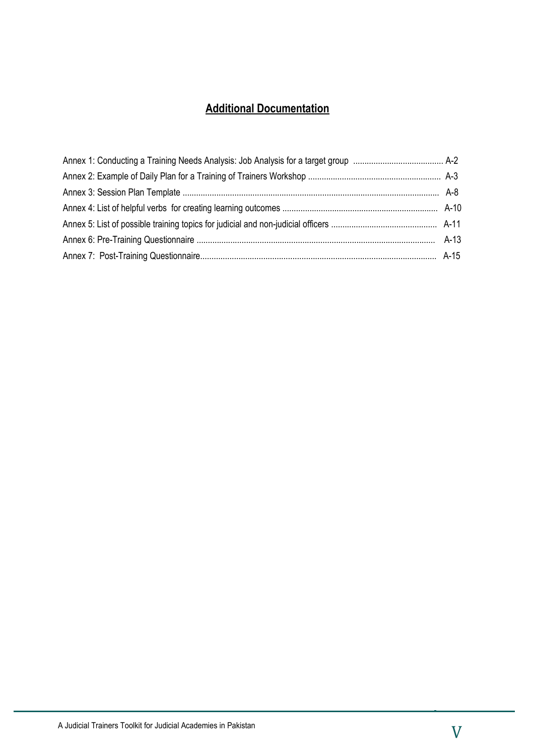## **Additional Documentation**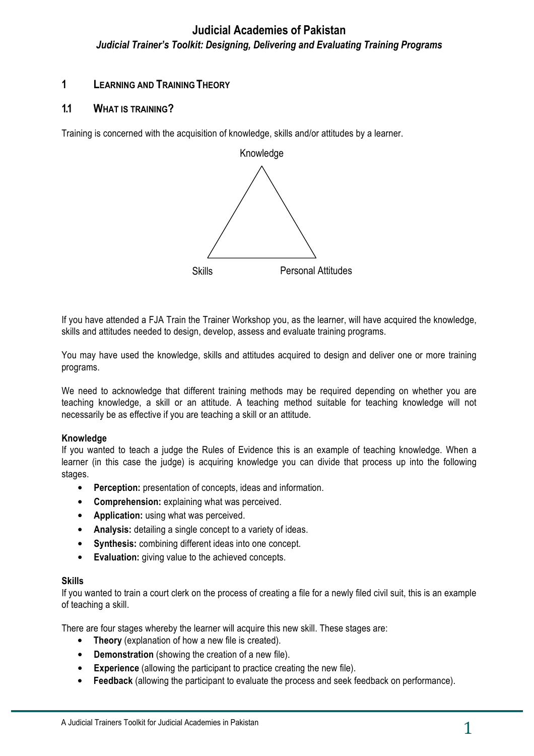#### **1 LEARNING AND TRAINING THEORY**

#### **1.1 WHAT IS TRAINING?**

Training is concerned with the acquisition of knowledge, skills and/or attitudes by a learner.



If you have attended a FJA Train the Trainer Workshop you, as the learner, will have acquired the knowledge, skills and attitudes needed to design, develop, assess and evaluate training programs.

You may have used the knowledge, skills and attitudes acquired to design and deliver one or more training programs.

We need to acknowledge that different training methods may be required depending on whether you are teaching knowledge, a skill or an attitude. A teaching method suitable for teaching knowledge will not necessarily be as effective if you are teaching a skill or an attitude.

#### **Knowledge**

If you wanted to teach a judge the Rules of Evidence this is an example of teaching knowledge. When a learner (in this case the judge) is acquiring knowledge you can divide that process up into the following stages.

- **Perception:** presentation of concepts, ideas and information.
- **Comprehension:** explaining what was perceived.
- **Application:** using what was perceived.
- **Analysis:** detailing a single concept to a variety of ideas.
- **Synthesis:** combining different ideas into one concept.
- **Evaluation:** giving value to the achieved concepts.

#### **Skills**

If you wanted to train a court clerk on the process of creating a file for a newly filed civil suit, this is an example of teaching a skill.

There are four stages whereby the learner will acquire this new skill. These stages are:

- **Theory** (explanation of how a new file is created).
- **Demonstration** (showing the creation of a new file).
- **Experience** (allowing the participant to practice creating the new file).
- **Feedback** (allowing the participant to evaluate the process and seek feedback on performance).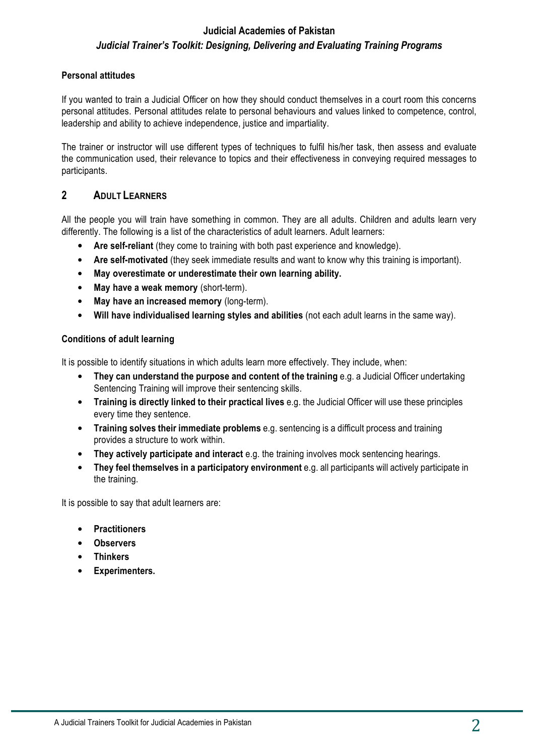#### **Personal attitudes**

If you wanted to train a Judicial Officer on how they should conduct themselves in a court room this concerns personal attitudes. Personal attitudes relate to personal behaviours and values linked to competence, control, leadership and ability to achieve independence, justice and impartiality.

The trainer or instructor will use different types of techniques to fulfil his/her task, then assess and evaluate the communication used, their relevance to topics and their effectiveness in conveying required messages to participants.

### **2 ADULT LEARNERS**

All the people you will train have something in common. They are all adults. Children and adults learn very differently. The following is a list of the characteristics of adult learners. Adult learners:

- **Are self-reliant** (they come to training with both past experience and knowledge).
- **Are self-motivated** (they seek immediate results and want to know why this training is important).
- **May overestimate or underestimate their own learning ability.**
- **May have a weak memory** (short-term).
- **May have an increased memory** (long-term).
- **Will have individualised learning styles and abilities** (not each adult learns in the same way).

#### **Conditions of adult learning**

It is possible to identify situations in which adults learn more effectively. They include, when:

- **They can understand the purpose and content of the training e.g. a Judicial Officer undertaking** Sentencing Training will improve their sentencing skills.
- **Training is directly linked to their practical lives** e.g. the Judicial Officer will use these principles every time they sentence.
- **Training solves their immediate problems** e.g. sentencing is a difficult process and training provides a structure to work within.
- **They actively participate and interact** e.g. the training involves mock sentencing hearings.
- **They feel themselves in a participatory environment** e.g. all participants will actively participate in the training.

It is possible to say that adult learners are:

- **Practitioners**
- **Observers**
- **Thinkers**
- **Experimenters.**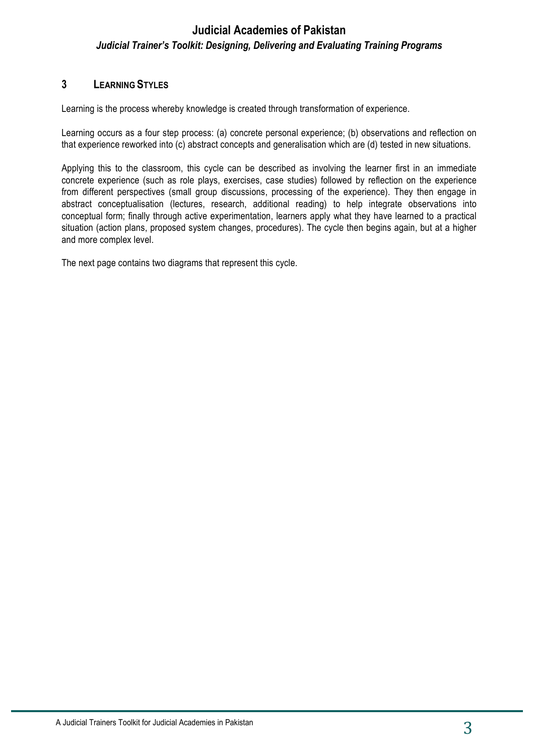### **3 LEARNING STYLES**

Learning is the process whereby knowledge is created through transformation of experience.

Learning occurs as a four step process: (a) concrete personal experience; (b) observations and reflection on that experience reworked into (c) abstract concepts and generalisation which are (d) tested in new situations.

Applying this to the classroom, this cycle can be described as involving the learner first in an immediate concrete experience (such as role plays, exercises, case studies) followed by reflection on the experience from different perspectives (small group discussions, processing of the experience). They then engage in abstract conceptualisation (lectures, research, additional reading) to help integrate observations into conceptual form; finally through active experimentation, learners apply what they have learned to a practical situation (action plans, proposed system changes, procedures). The cycle then begins again, but at a higher and more complex level.

The next page contains two diagrams that represent this cycle.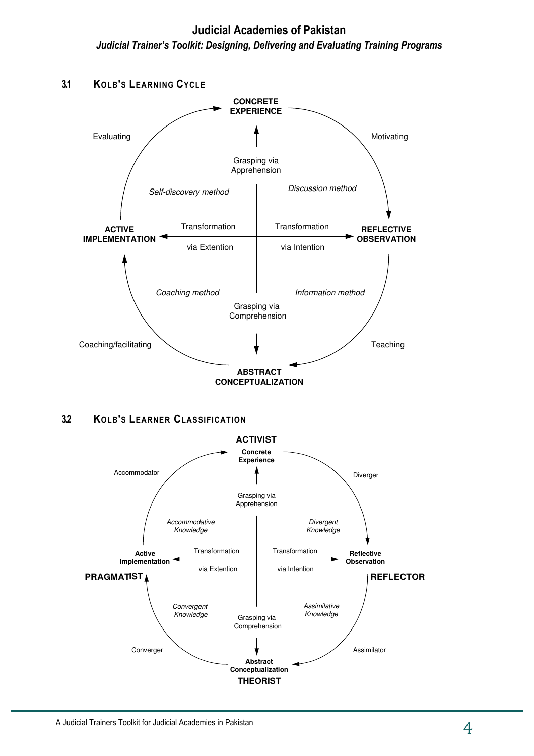**Judicial Academies of Pakistan**  *Judicial Trainer's Toolkit: Designing, Delivering and Evaluating Training Programs*



**3.2 KOLB'S LEARNER CLASSIFICATION**

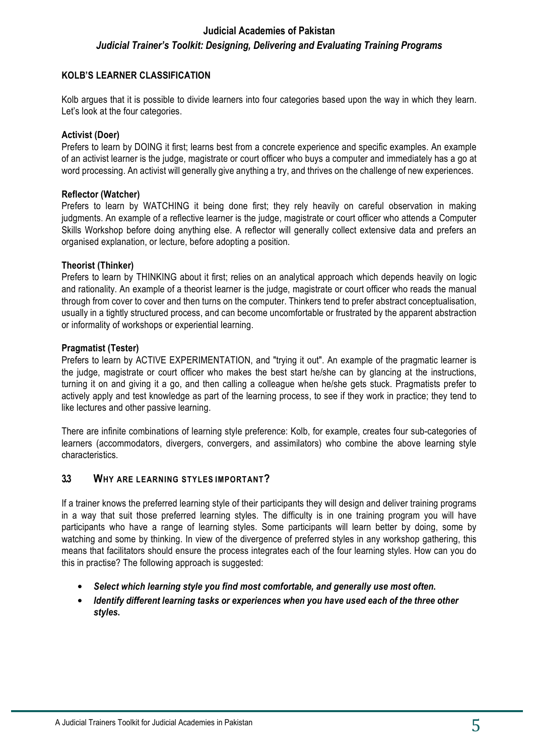#### **KOLB'S LEARNER CLASSIFICATION**

Kolb argues that it is possible to divide learners into four categories based upon the way in which they learn. Let's look at the four categories.

#### **Activist (Doer)**

Prefers to learn by DOING it first; learns best from a concrete experience and specific examples. An example of an activist learner is the judge, magistrate or court officer who buys a computer and immediately has a go at word processing. An activist will generally give anything a try, and thrives on the challenge of new experiences.

#### **Reflector (Watcher)**

Prefers to learn by WATCHING it being done first; they rely heavily on careful observation in making judgments. An example of a reflective learner is the judge, magistrate or court officer who attends a Computer Skills Workshop before doing anything else. A reflector will generally collect extensive data and prefers an organised explanation, or lecture, before adopting a position.

#### **Theorist (Thinker)**

Prefers to learn by THINKING about it first; relies on an analytical approach which depends heavily on logic and rationality. An example of a theorist learner is the judge, magistrate or court officer who reads the manual through from cover to cover and then turns on the computer. Thinkers tend to prefer abstract conceptualisation, usually in a tightly structured process, and can become uncomfortable or frustrated by the apparent abstraction or informality of workshops or experiential learning.

#### **Pragmatist (Tester)**

Prefers to learn by ACTIVE EXPERIMENTATION, and "trying it out". An example of the pragmatic learner is the judge, magistrate or court officer who makes the best start he/she can by glancing at the instructions, turning it on and giving it a go, and then calling a colleague when he/she gets stuck. Pragmatists prefer to actively apply and test knowledge as part of the learning process, to see if they work in practice; they tend to like lectures and other passive learning.

There are infinite combinations of learning style preference: Kolb, for example, creates four sub-categories of learners (accommodators, divergers, convergers, and assimilators) who combine the above learning style characteristics.

#### **3.3 WHY ARE LEARNING STYLES IMPORTANT?**

If a trainer knows the preferred learning style of their participants they will design and deliver training programs in a way that suit those preferred learning styles. The difficulty is in one training program you will have participants who have a range of learning styles. Some participants will learn better by doing, some by watching and some by thinking. In view of the divergence of preferred styles in any workshop gathering, this means that facilitators should ensure the process integrates each of the four learning styles. How can you do this in practise? The following approach is suggested:

- *Select which learning style you find most comfortable, and generally use most often***.**
- *Identify different learning tasks or experiences when you have used each of the three other styles***.**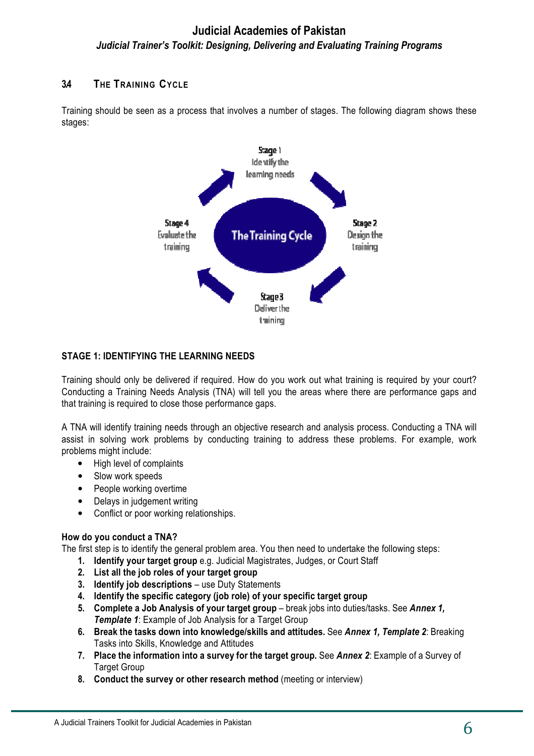#### **3.4 THE TRAINING CYCLE**

Training should be seen as a process that involves a number of stages. The following diagram shows these stages:



#### **STAGE 1: IDENTIFYING THE LEARNING NEEDS**

Training should only be delivered if required. How do you work out what training is required by your court? Conducting a Training Needs Analysis (TNA) will tell you the areas where there are performance gaps and that training is required to close those performance gaps.

A TNA will identify training needs through an objective research and analysis process. Conducting a TNA will assist in solving work problems by conducting training to address these problems. For example, work problems might include:

- High level of complaints
- Slow work speeds
- People working overtime
- Delays in judgement writing
- Conflict or poor working relationships.

#### **How do you conduct a TNA?**

The first step is to identify the general problem area. You then need to undertake the following steps:

- **1. Identify your target group** e.g. Judicial Magistrates, Judges, or Court Staff
- **2. List all the job roles of your target group**
- **3. Identify job descriptions** use Duty Statements
- **4. Identify the specific category (job role) of your specific target group**
- **5. Complete a Job Analysis of your target group** break jobs into duties/tasks. See Annex 1, *Template 1*: Example of Job Analysis for a Target Group
- **6. Break the tasks down into knowledge/skills and attitudes.** See *Annex 1, Template 2*: Breaking Tasks into Skills, Knowledge and Attitudes
- **7. Place the information into a survey for the target group.** See *Annex 2*: Example of a Survey of Target Group
- **8. Conduct the survey or other research method** (meeting or interview)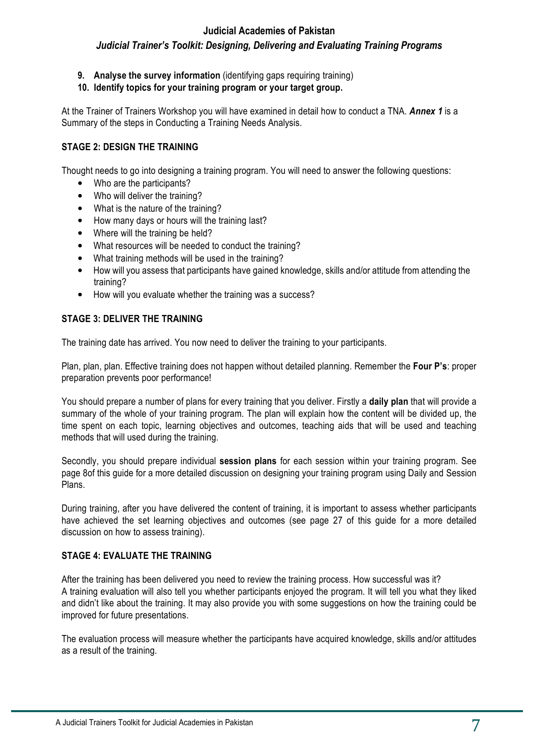- **9. Analyse the survey information** (identifying gaps requiring training)
- **10. Identify topics for your training program or your target group.**

At the Trainer of Trainers Workshop you will have examined in detail how to conduct a TNA. *Annex 1* is a Summary of the steps in Conducting a Training Needs Analysis.

#### **STAGE 2: DESIGN THE TRAINING**

Thought needs to go into designing a training program. You will need to answer the following questions:

- Who are the participants?
- Who will deliver the training?
- What is the nature of the training?
- How many days or hours will the training last?
- Where will the training be held?
- What resources will be needed to conduct the training?
- What training methods will be used in the training?
- How will you assess that participants have gained knowledge, skills and/or attitude from attending the training?
- How will you evaluate whether the training was a success?

#### **STAGE 3: DELIVER THE TRAINING**

The training date has arrived. You now need to deliver the training to your participants.

Plan, plan, plan. Effective training does not happen without detailed planning. Remember the **Four P's**: proper preparation prevents poor performance!

You should prepare a number of plans for every training that you deliver. Firstly a **daily plan** that will provide a summary of the whole of your training program. The plan will explain how the content will be divided up, the time spent on each topic, learning objectives and outcomes, teaching aids that will be used and teaching methods that will used during the training.

Secondly, you should prepare individual **session plans** for each session within your training program. See page 8of this guide for a more detailed discussion on designing your training program using Daily and Session Plans.

During training, after you have delivered the content of training, it is important to assess whether participants have achieved the set learning objectives and outcomes (see page 27 of this guide for a more detailed discussion on how to assess training).

#### **STAGE 4: EVALUATE THE TRAINING**

After the training has been delivered you need to review the training process. How successful was it? A training evaluation will also tell you whether participants enjoyed the program. It will tell you what they liked and didn't like about the training. It may also provide you with some suggestions on how the training could be improved for future presentations.

The evaluation process will measure whether the participants have acquired knowledge, skills and/or attitudes as a result of the training.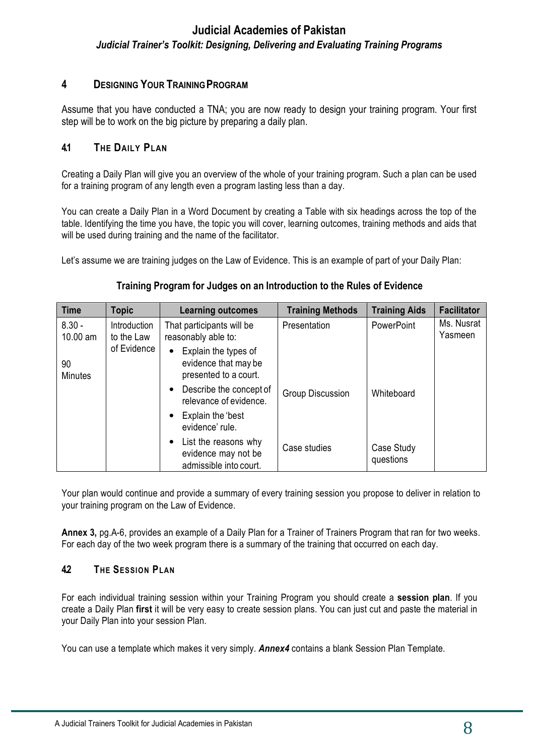### **4 DESIGNING YOUR TRAINING PROGRAM**

Assume that you have conducted a TNA; you are now ready to design your training program. Your first step will be to work on the big picture by preparing a daily plan.

#### **4.1 THE DAILY PLAN**

Creating a Daily Plan will give you an overview of the whole of your training program. Such a plan can be used for a training program of any length even a program lasting less than a day.

You can create a Daily Plan in a Word Document by creating a Table with six headings across the top of the table. Identifying the time you have, the topic you will cover, learning outcomes, training methods and aids that will be used during training and the name of the facilitator.

Let's assume we are training judges on the Law of Evidence. This is an example of part of your Daily Plan:

#### **Training Program for Judges on an Introduction to the Rules of Evidence**

| <b>Time</b>          | <b>Topic</b>                                                                   | <b>Learning outcomes</b>                                                           | <b>Training Methods</b> | <b>Training Aids</b>    | <b>Facilitator</b>    |
|----------------------|--------------------------------------------------------------------------------|------------------------------------------------------------------------------------|-------------------------|-------------------------|-----------------------|
| $8.30 -$<br>10.00 am | That participants will be<br>Introduction<br>reasonably able to:<br>to the Law |                                                                                    | Presentation            | <b>PowerPoint</b>       | Ms. Nusrat<br>Yasmeen |
| 90<br><b>Minutes</b> | of Evidence                                                                    | Explain the types of<br>evidence that may be<br>presented to a court.              |                         |                         |                       |
|                      |                                                                                | Describe the concept of<br>relevance of evidence.                                  | Group Discussion        | Whiteboard              |                       |
|                      |                                                                                | Explain the 'best<br>evidence' rule.                                               |                         |                         |                       |
|                      |                                                                                | List the reasons why<br>$\bullet$<br>evidence may not be<br>admissible into court. | Case studies            | Case Study<br>questions |                       |

Your plan would continue and provide a summary of every training session you propose to deliver in relation to your training program on the Law of Evidence.

**Annex 3,** pg.A-6, provides an example of a Daily Plan for a Trainer of Trainers Program that ran for two weeks. For each day of the two week program there is a summary of the training that occurred on each day.

#### **4.2 THE SESSION PLAN**

For each individual training session within your Training Program you should create a **session plan**. If you create a Daily Plan **first** it will be very easy to create session plans. You can just cut and paste the material in your Daily Plan into your session Plan.

You can use a template which makes it very simply. *Annex4* contains a blank Session Plan Template.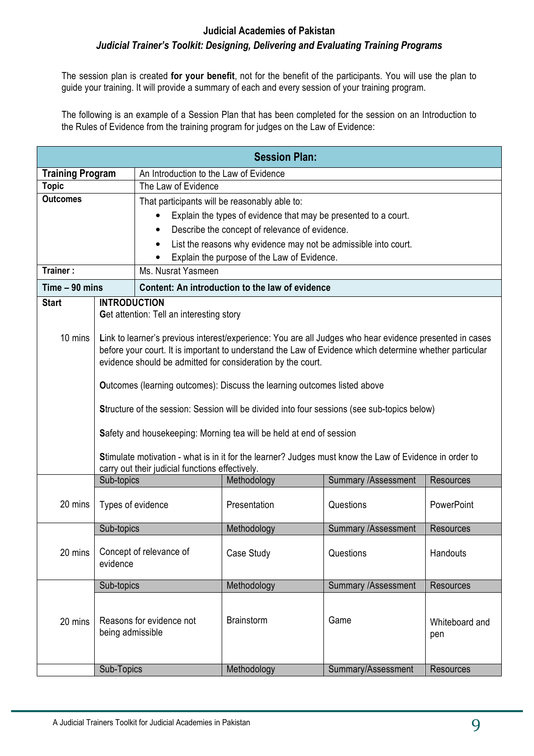The session plan is created **for your benefit**, not for the benefit of the participants. You will use the plan to guide your training. It will provide a summary of each and every session of your training program.

The following is an example of a Session Plan that has been completed for the session on an Introduction to the Rules of Evidence from the training program for judges on the Law of Evidence:

|                         |                                                                                                    |                                                                                                        | <b>Session Plan:</b>                                            |                                                                                                         |                  |  |  |  |
|-------------------------|----------------------------------------------------------------------------------------------------|--------------------------------------------------------------------------------------------------------|-----------------------------------------------------------------|---------------------------------------------------------------------------------------------------------|------------------|--|--|--|
| <b>Training Program</b> |                                                                                                    | An Introduction to the Law of Evidence                                                                 |                                                                 |                                                                                                         |                  |  |  |  |
| <b>Topic</b>            |                                                                                                    | The Law of Evidence                                                                                    |                                                                 |                                                                                                         |                  |  |  |  |
| <b>Outcomes</b>         |                                                                                                    |                                                                                                        | That participants will be reasonably able to:                   |                                                                                                         |                  |  |  |  |
|                         |                                                                                                    | $\bullet$                                                                                              | Explain the types of evidence that may be presented to a court. |                                                                                                         |                  |  |  |  |
|                         |                                                                                                    | $\bullet$                                                                                              | Describe the concept of relevance of evidence.                  |                                                                                                         |                  |  |  |  |
|                         |                                                                                                    | $\bullet$                                                                                              | List the reasons why evidence may not be admissible into court. |                                                                                                         |                  |  |  |  |
|                         |                                                                                                    |                                                                                                        | Explain the purpose of the Law of Evidence.                     |                                                                                                         |                  |  |  |  |
| Trainer:                |                                                                                                    | Ms. Nusrat Yasmeen                                                                                     |                                                                 |                                                                                                         |                  |  |  |  |
| Time - 90 mins          |                                                                                                    |                                                                                                        | Content: An introduction to the law of evidence                 |                                                                                                         |                  |  |  |  |
| <b>Start</b>            | <b>INTRODUCTION</b>                                                                                |                                                                                                        |                                                                 |                                                                                                         |                  |  |  |  |
|                         |                                                                                                    | <b>Get attention: Tell an interesting story</b>                                                        |                                                                 |                                                                                                         |                  |  |  |  |
| 10 mins                 |                                                                                                    |                                                                                                        |                                                                 | Link to learner's previous interest/experience: You are all Judges who hear evidence presented in cases |                  |  |  |  |
|                         |                                                                                                    |                                                                                                        |                                                                 | before your court. It is important to understand the Law of Evidence which determine whether particular |                  |  |  |  |
|                         |                                                                                                    |                                                                                                        | evidence should be admitted for consideration by the court.     |                                                                                                         |                  |  |  |  |
|                         |                                                                                                    |                                                                                                        |                                                                 |                                                                                                         |                  |  |  |  |
|                         |                                                                                                    | <b>Outcomes (learning outcomes): Discuss the learning outcomes listed above</b>                        |                                                                 |                                                                                                         |                  |  |  |  |
|                         | <b>Structure of the session: Session will be divided into four sessions (see sub-topics below)</b> |                                                                                                        |                                                                 |                                                                                                         |                  |  |  |  |
|                         | Safety and housekeeping: Morning tea will be held at end of session                                |                                                                                                        |                                                                 |                                                                                                         |                  |  |  |  |
|                         |                                                                                                    |                                                                                                        |                                                                 |                                                                                                         |                  |  |  |  |
|                         |                                                                                                    | Stimulate motivation - what is in it for the learner? Judges must know the Law of Evidence in order to |                                                                 |                                                                                                         |                  |  |  |  |
|                         |                                                                                                    | carry out their judicial functions effectively.                                                        |                                                                 |                                                                                                         |                  |  |  |  |
|                         | Sub-topics                                                                                         |                                                                                                        | Methodology                                                     | <b>Summary /Assessment</b>                                                                              | <b>Resources</b> |  |  |  |
| 20 mins                 | Types of evidence                                                                                  |                                                                                                        | Presentation                                                    | Questions                                                                                               | PowerPoint       |  |  |  |
|                         |                                                                                                    |                                                                                                        |                                                                 |                                                                                                         |                  |  |  |  |
|                         | Sub-topics                                                                                         |                                                                                                        | Methodology                                                     | Summary /Assessment                                                                                     | <b>Resources</b> |  |  |  |
|                         |                                                                                                    | Concept of relevance of                                                                                |                                                                 |                                                                                                         |                  |  |  |  |
| 20 mins                 | evidence                                                                                           |                                                                                                        | Case Study                                                      | Questions                                                                                               | Handouts         |  |  |  |
|                         |                                                                                                    |                                                                                                        |                                                                 |                                                                                                         |                  |  |  |  |
|                         | Sub-topics                                                                                         |                                                                                                        | Methodology                                                     | <b>Summary /Assessment</b>                                                                              | <b>Resources</b> |  |  |  |
|                         |                                                                                                    |                                                                                                        |                                                                 |                                                                                                         |                  |  |  |  |
| 20 mins                 |                                                                                                    | Reasons for evidence not                                                                               | <b>Brainstorm</b>                                               | Game                                                                                                    | Whiteboard and   |  |  |  |
|                         | being admissible                                                                                   |                                                                                                        |                                                                 |                                                                                                         | pen              |  |  |  |
|                         |                                                                                                    |                                                                                                        |                                                                 |                                                                                                         |                  |  |  |  |
|                         | Sub-Topics                                                                                         |                                                                                                        | Methodology                                                     | Summary/Assessment                                                                                      | <b>Resources</b> |  |  |  |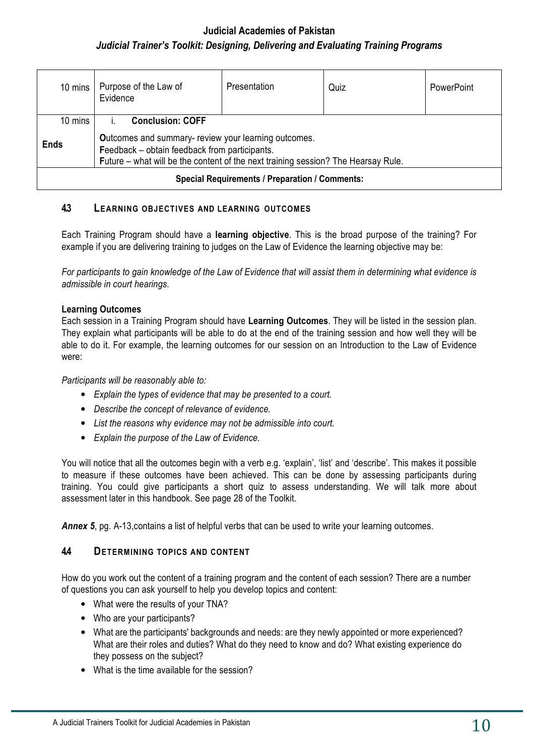| Purpose of the Law of<br>10 mins<br>Evidence          |                                                                                                                                                                                            | Presentation | Quiz | PowerPoint |  |
|-------------------------------------------------------|--------------------------------------------------------------------------------------------------------------------------------------------------------------------------------------------|--------------|------|------------|--|
| <b>Conclusion: COFF</b><br>10 mins                    |                                                                                                                                                                                            |              |      |            |  |
| <b>Ends</b>                                           | Outcomes and summary- review your learning outcomes.<br>Feedback - obtain feedback from participants.<br>Future – what will be the content of the next training session? The Hearsay Rule. |              |      |            |  |
| <b>Special Requirements / Preparation / Comments:</b> |                                                                                                                                                                                            |              |      |            |  |

#### **4.3 LEARNING OBJECTIVES AND LEARNING OUTCOMES**

Each Training Program should have a **learning objective**. This is the broad purpose of the training? For example if you are delivering training to judges on the Law of Evidence the learning objective may be:

*For participants to gain knowledge of the Law of Evidence that will assist them in determining what evidence is admissible in court hearings.*

#### **Learning Outcomes**

Each session in a Training Program should have **Learning Outcomes**. They will be listed in the session plan. They explain what participants will be able to do at the end of the training session and how well they will be able to do it. For example, the learning outcomes for our session on an Introduction to the Law of Evidence were:

*Participants will be reasonably able to:*

- *Explain the types of evidence that may be presented to a court.*
- *Describe the concept of relevance of evidence.*
- *List the reasons why evidence may not be admissible into court.*
- *Explain the purpose of the Law of Evidence.*

You will notice that all the outcomes begin with a verb e.g. 'explain', 'list' and 'describe'. This makes it possible to measure if these outcomes have been achieved. This can be done by assessing participants during training. You could give participants a short quiz to assess understanding. We will talk more about assessment later in this handbook. See page 28 of the Toolkit.

**Annex 5**, pg. A-13, contains a list of helpful verbs that can be used to write your learning outcomes.

#### **4.4 DETERMINING TOPICS AND CONTENT**

How do you work out the content of a training program and the content of each session? There are a number of questions you can ask yourself to help you develop topics and content:

- What were the results of your TNA?
- Who are your participants?
- What are the participants' backgrounds and needs: are they newly appointed or more experienced? What are their roles and duties? What do they need to know and do? What existing experience do they possess on the subject?
- What is the time available for the session?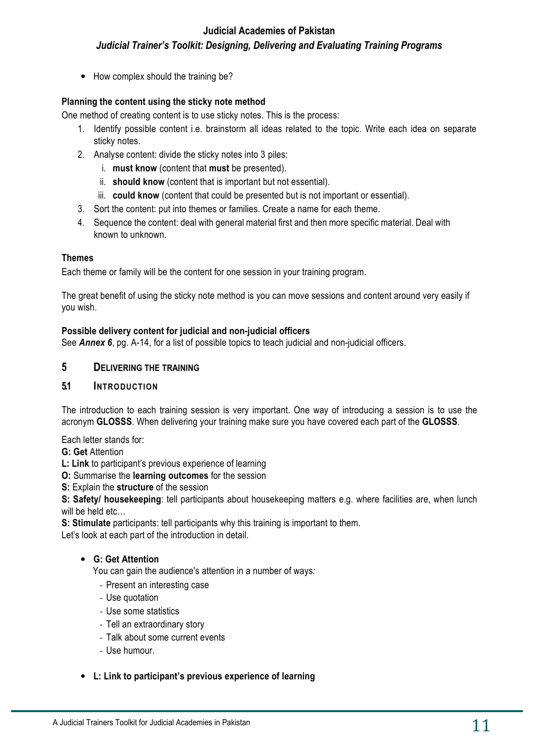• How complex should the training be?

#### **Planning the content using the sticky note method**

One method of creating content is to use sticky notes. This is the process:

- 1. Identify possible content i.e. brainstorm all ideas related to the topic. Write each idea on separate sticky notes.
- 2. Analyse content: divide the sticky notes into 3 piles:
	- i. **must know** (content that **must** be presented).
	- ii. **should know** (content that is important but not essential).
	- iii. **could know** (content that could be presented but is not important or essential).
- 3. Sort the content: put into themes or families. Create a name for each theme.
- 4. Sequence the content: deal with general material first and then more specific material. Deal with known to unknown.

#### **Themes**

Each theme or family will be the content for one session in your training program.

The great benefit of using the sticky note method is you can move sessions and content around very easily if you wish.

#### **Possible delivery content for judicial and non-judicial officers**

See **Annex 6**, pg. A-14, for a list of possible topics to teach judicial and non-judicial officers.

#### **5 DELIVERING THE TRAINING**

#### **5.1 INTRODUCTION**

The introduction to each training session is very important. One way of introducing a session is to use the acronym **GLOSSS**. When delivering your training make sure you have covered each part of the **GLOSSS**.

Each letter stands for:

**G: Get** Attention

**L: Link** to participant's previous experience of learning

**O:** Summarise the **learning outcomes** for the session

**S:** Explain the **structure** of the session

**S: Safety/ housekeeping**: tell participants about housekeeping matters e.g. where facilities are, when lunch will be held etc…

**S: Stimulate** participants: tell participants why this training is important to them.

Let's look at each part of the introduction in detail.

#### • **G: Get Attention**

You can gain the audience's attention in a number of ways*:*

- Present an interesting case
- Use quotation
- Use some statistics
- Tell an extraordinary story
- Talk about some current events
- Use humour.

#### • **L: Link to participant's previous experience of learning**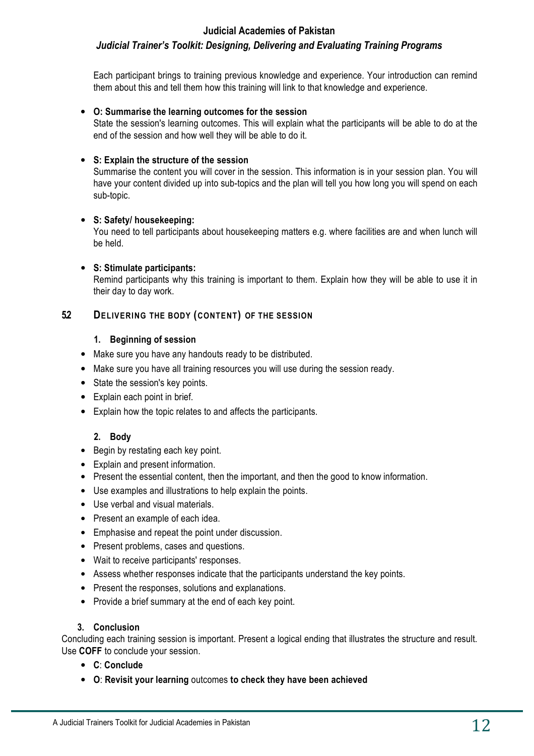#### **Judicial Academies of Pakistan**

### *Judicial Trainer's Toolkit: Designing, Delivering and Evaluating Training Programs*

Each participant brings to training previous knowledge and experience. Your introduction can remind them about this and tell them how this training will link to that knowledge and experience.

#### • **O: Summarise the learning outcomes for the session**

State the session's learning outcomes. This will explain what the participants will be able to do at the end of the session and how well they will be able to do it.

#### • **S: Explain the structure of the session**

Summarise the content you will cover in the session. This information is in your session plan. You will have your content divided up into sub-topics and the plan will tell you how long you will spend on each sub-topic.

#### • **S: Safety/ housekeeping:**

You need to tell participants about housekeeping matters e.g. where facilities are and when lunch will be held.

#### • **S: Stimulate participants:**

Remind participants why this training is important to them. Explain how they will be able to use it in their day to day work.

#### **5.2 DELIVERING THE BODY (CONTENT) OF THE SESSION**

#### **1. Beginning of session**

- Make sure you have any handouts ready to be distributed.
- Make sure you have all training resources you will use during the session ready.
- State the session's key points.
- Explain each point in brief.
- Explain how the topic relates to and affects the participants.

#### **2. Body**

- Begin by restating each key point.
- Explain and present information.
- Present the essential content, then the important, and then the good to know information.
- Use examples and illustrations to help explain the points.
- Use verbal and visual materials.
- Present an example of each idea.
- Emphasise and repeat the point under discussion.
- Present problems, cases and questions.
- Wait to receive participants' responses.
- Assess whether responses indicate that the participants understand the key points.
- Present the responses, solutions and explanations.
- Provide a brief summary at the end of each key point.

#### **3. Conclusion**

Concluding each training session is important. Present a logical ending that illustrates the structure and result. Use **COFF** to conclude your session.

- **C**: **Conclude**
- **O**: **Revisit your learning** outcomes **to check they have been achieved**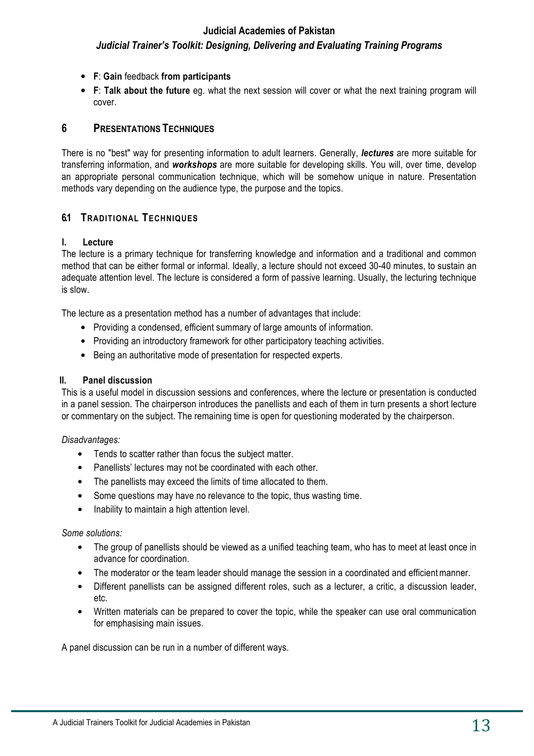- **F**: **Gain** feedback **from participants**
- **F**: **Talk about the future** eg. what the next session will cover or what the next training program will cover.

#### **6 PRESENTATIONS TECHNIQUES**

There is no "best" way for presenting information to adult learners. Generally, *lectures* are more suitable for transferring information, and *workshops* are more suitable for developing skills. You will, over time, develop an appropriate personal communication technique, which will be somehow unique in nature. Presentation methods vary depending on the audience type, the purpose and the topics.

#### **6.1 TRADITIONAL TECHNIQUES**

#### **I. Lecture**

The lecture is a primary technique for transferring knowledge and information and a traditional and common method that can be either formal or informal. Ideally, a lecture should not exceed 30-40 minutes, to sustain an adequate attention level. The lecture is considered a form of passive learning. Usually, the lecturing technique is slow.

The lecture as a presentation method has a number of advantages that include:

- Providing a condensed, efficient summary of large amounts of information.
- Providing an introductory framework for other participatory teaching activities.
- Being an authoritative mode of presentation for respected experts.

#### **II. Panel discussion**

This is a useful model in discussion sessions and conferences, where the lecture or presentation is conducted in a panel session. The chairperson introduces the panellists and each of them in turn presents a short lecture or commentary on the subject. The remaining time is open for questioning moderated by the chairperson.

*Disadvantages:*

- Tends to scatter rather than focus the subject matter.
- Panellists' lectures may not be coordinated with each other.
- The panellists may exceed the limits of time allocated to them.
- Some questions may have no relevance to the topic, thus wasting time.
- Inability to maintain a high attention level.

#### *Some solutions:*

- The group of panellists should be viewed as a unified teaching team, who has to meet at least once in advance for coordination.
- The moderator or the team leader should manage the session in a coordinated and efficient manner.
- Different panellists can be assigned different roles, such as a lecturer, a critic, a discussion leader, etc.
- Written materials can be prepared to cover the topic, while the speaker can use oral communication for emphasising main issues.

A panel discussion can be run in a number of different ways.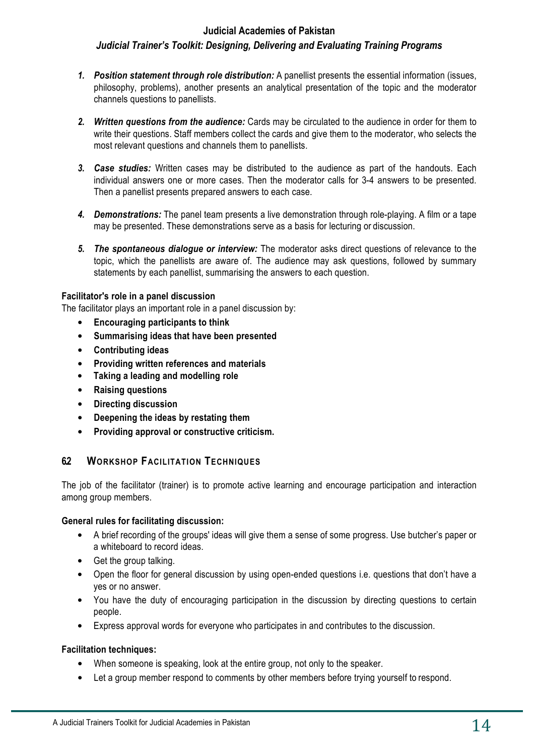#### **Judicial Academies of Pakistan**

### *Judicial Trainer's Toolkit: Designing, Delivering and Evaluating Training Programs*

- *1. Position statement through role distribution:* A panellist presents the essential information (issues, philosophy, problems), another presents an analytical presentation of the topic and the moderator channels questions to panellists.
- *2. Written questions from the audience:* Cards may be circulated to the audience in order for them to write their questions. Staff members collect the cards and give them to the moderator, who selects the most relevant questions and channels them to panellists.
- *3. Case studies:* Written cases may be distributed to the audience as part of the handouts. Each individual answers one or more cases. Then the moderator calls for 3-4 answers to be presented. Then a panellist presents prepared answers to each case.
- *4. Demonstrations:* The panel team presents a live demonstration through role-playing. A film or a tape may be presented. These demonstrations serve as a basis for lecturing or discussion.
- *5. The spontaneous dialogue or interview:* The moderator asks direct questions of relevance to the topic, which the panellists are aware of. The audience may ask questions, followed by summary statements by each panellist, summarising the answers to each question.

#### **Facilitator's role in a panel discussion**

The facilitator plays an important role in a panel discussion by:

- **Encouraging participants to think**
- **Summarising ideas that have been presented**
- **Contributing ideas**
- **Providing written references and materials**
- **Taking a leading and modelling role**
- **Raising questions**
- **Directing discussion**
- **Deepening the ideas by restating them**
- **Providing approval or constructive criticism.**

#### **6.2 WORKSHOP FACILITATION TECHNIQUES**

The job of the facilitator (trainer) is to promote active learning and encourage participation and interaction among group members.

#### **General rules for facilitating discussion:**

- A brief recording of the groups' ideas will give them a sense of some progress. Use butcher's paper or a whiteboard to record ideas.
- Get the group talking.
- Open the floor for general discussion by using open-ended questions i.e. questions that don't have a yes or no answer.
- You have the duty of encouraging participation in the discussion by directing questions to certain people.
- Express approval words for everyone who participates in and contributes to the discussion.

#### **Facilitation techniques:**

- When someone is speaking, look at the entire group, not only to the speaker.
- Let a group member respond to comments by other members before trying yourself to respond.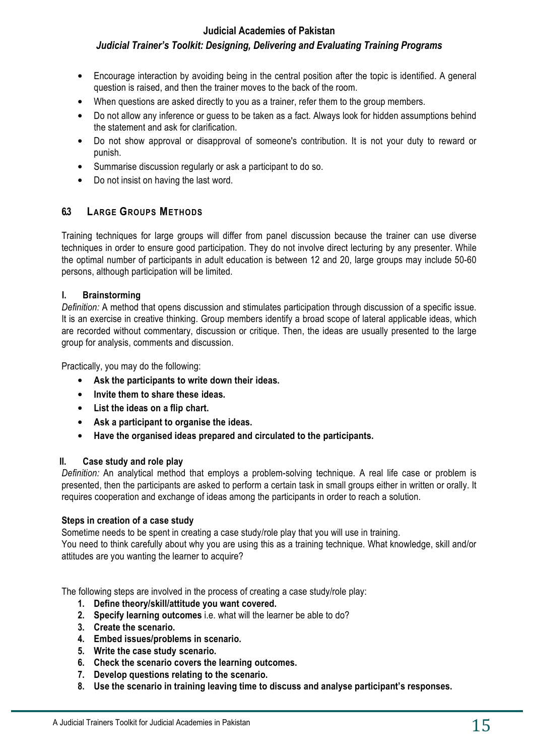#### **Judicial Academies of Pakistan**

#### *Judicial Trainer's Toolkit: Designing, Delivering and Evaluating Training Programs*

- Encourage interaction by avoiding being in the central position after the topic is identified. A general question is raised, and then the trainer moves to the back of the room.
- When questions are asked directly to you as a trainer, refer them to the group members.
- Do not allow any inference or guess to be taken as a fact. Always look for hidden assumptions behind the statement and ask for clarification.
- Do not show approval or disapproval of someone's contribution. It is not your duty to reward or punish.
- Summarise discussion regularly or ask a participant to do so.
- Do not insist on having the last word.

#### **6.3 LARGE GROUPS METHODS**

Training techniques for large groups will differ from panel discussion because the trainer can use diverse techniques in order to ensure good participation. They do not involve direct lecturing by any presenter. While the optimal number of participants in adult education is between 12 and 20, large groups may include 50-60 persons, although participation will be limited.

#### **I. Brainstorming**

*Definition:* A method that opens discussion and stimulates participation through discussion of a specific issue. It is an exercise in creative thinking. Group members identify a broad scope of lateral applicable ideas, which are recorded without commentary, discussion or critique. Then, the ideas are usually presented to the large group for analysis, comments and discussion.

Practically, you may do the following:

- **Ask the participants to write down their ideas.**
- **Invite them to share these ideas.**
- **List the ideas on a flip chart.**
- **Ask a participant to organise the ideas.**
- **Have the organised ideas prepared and circulated to the participants.**

#### **II. Case study and role play**

*Definition:* An analytical method that employs a problem-solving technique. A real life case or problem is presented, then the participants are asked to perform a certain task in small groups either in written or orally. It requires cooperation and exchange of ideas among the participants in order to reach a solution.

#### **Steps in creation of a case study**

Sometime needs to be spent in creating a case study/role play that you will use in training.

You need to think carefully about why you are using this as a training technique. What knowledge, skill and/or attitudes are you wanting the learner to acquire?

The following steps are involved in the process of creating a case study/role play:

- **1. Define theory/skill/attitude you want covered.**
- **2. Specify learning outcomes** i.e. what will the learner be able to do?
- **3. Create the scenario.**
- **4. Embed issues/problems in scenario.**
- **5. Write the case study scenario.**
- **6. Check the scenario covers the learning outcomes.**
- **7. Develop questions relating to the scenario.**
- **8. Use the scenario in training leaving time to discuss and analyse participant's responses.**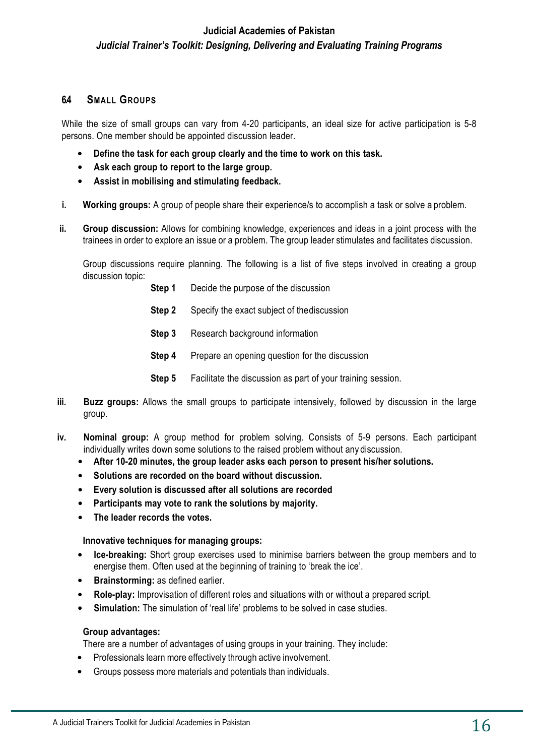#### **6.4 SMALL GROUPS**

While the size of small groups can vary from 4-20 participants, an ideal size for active participation is 5-8 persons. One member should be appointed discussion leader.

- **Define the task for each group clearly and the time to work on this task.**
- **Ask each group to report to the large group.**
- **Assist in mobilising and stimulating feedback.**
- **i. Working groups:** A group of people share their experience/s to accomplish a task or solve a problem.
- **ii. Group discussion:** Allows for combining knowledge, experiences and ideas in a joint process with the trainees in order to explore an issue or a problem. The group leader stimulates and facilitates discussion.

Group discussions require planning. The following is a list of five steps involved in creating a group discussion topic:

- **Step 1** Decide the purpose of the discussion
- **Step 2** Specify the exact subject of the discussion
- **Step 3** Research background information
- **Step 4** Prepare an opening question for the discussion
- **Step 5** Facilitate the discussion as part of your training session.
- **iii. Buzz groups:** Allows the small groups to participate intensively, followed by discussion in the large group.
- **iv. Nominal group:** A group method for problem solving. Consists of 5-9 persons. Each participant individually writes down some solutions to the raised problem without any discussion.
	- **After 10-20 minutes, the group leader asks each person to present his/her solutions.**
	- **Solutions are recorded on the board without discussion.**
	- **Every solution is discussed after all solutions are recorded**
	- **Participants may vote to rank the solutions by majority.**
	- **The leader records the votes.**

#### **Innovative techniques for managing groups:**

- **Ice-breaking:** Short group exercises used to minimise barriers between the group members and to energise them. Often used at the beginning of training to 'break the ice'.
- **Brainstorming:** as defined earlier.
- **Role-play:** Improvisation of different roles and situations with or without a prepared script.
- **Simulation:** The simulation of 'real life' problems to be solved in case studies.

#### **Group advantages:**

There are a number of advantages of using groups in your training. They include:

- Professionals learn more effectively through active involvement.
- Groups possess more materials and potentials than individuals.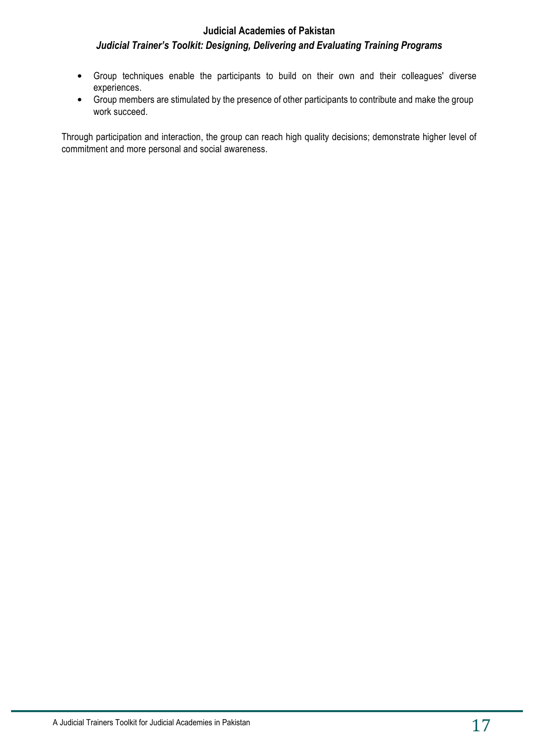- Group techniques enable the participants to build on their own and their colleagues' diverse experiences.
- Group members are stimulated by the presence of other participants to contribute and make the group work succeed.

Through participation and interaction, the group can reach high quality decisions; demonstrate higher level of commitment and more personal and social awareness.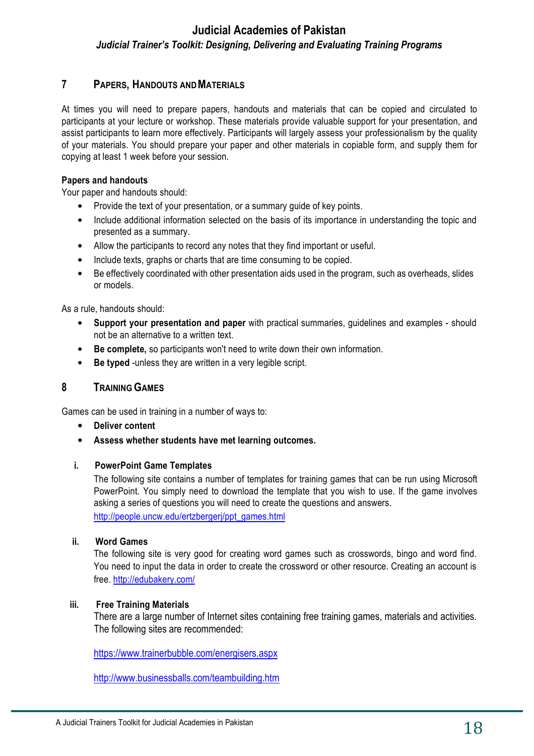#### **7 PAPERS, HANDOUTS AND MATERIALS**

At times you will need to prepare papers, handouts and materials that can be copied and circulated to participants at your lecture or workshop. These materials provide valuable support for your presentation, and assist participants to learn more effectively. Participants will largely assess your professionalism by the quality of your materials. You should prepare your paper and other materials in copiable form, and supply them for copying at least 1 week before your session.

#### **Papers and handouts**

Your paper and handouts should:

- Provide the text of your presentation, or a summary guide of key points.
- Include additional information selected on the basis of its importance in understanding the topic and presented as a summary.
- Allow the participants to record any notes that they find important or useful.
- Include texts, graphs or charts that are time consuming to be copied.
- Be effectively coordinated with other presentation aids used in the program, such as overheads, slides or models.

As a rule, handouts should:

- **Support your presentation and paper** with practical summaries, guidelines and examples should not be an alternative to a written text.
- **Be complete,** so participants won't need to write down their own information.
- **Be typed** -unless they are written in a very legible script.

#### **8 TRAINING GAMES**

Games can be used in training in a number of ways to:

- **Deliver content**
- **Assess whether students have met learning outcomes.**

#### **i. PowerPoint Game Templates**

The following site contains a number of templates for training games that can be run using Microsoft PowerPoint. You simply need to download the template that you wish to use. If the game involves asking a series of questions you will need to create the questions and answers.

http://people.uncw.edu/ertzbergeri/ppt\_games.html

#### **ii. Word Games**

The following site is very good for creating word games such as crosswords, bingo and word find. You need to input the data in order to create the crossword or other resource. Creating an account is free. http://edubakery.com/

#### **iii. Free Training Materials**

There are a large number of Internet sites containing free training games, materials and activities. The following sites are recommended:

https://www.trainerbubble.com/energisers.aspx

http://www.businessballs.com/teambuilding.htm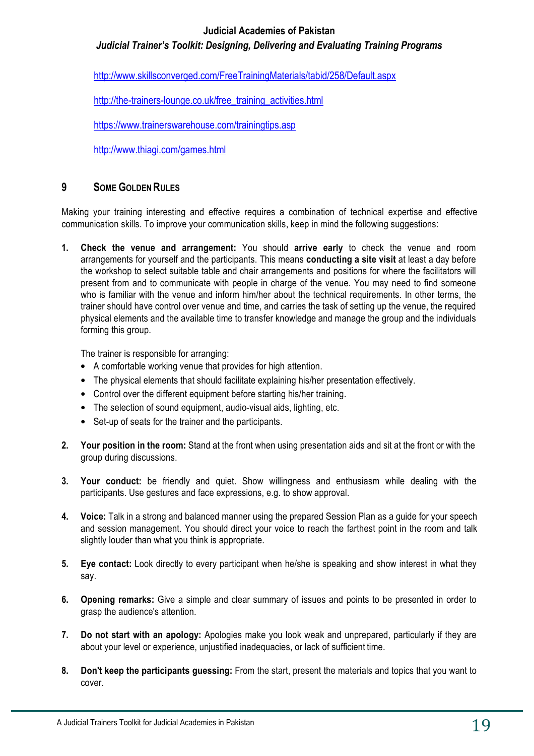#### **Judicial Academies of Pakistan**

*Judicial Trainer's Toolkit: Designing, Delivering and Evaluating Training Programs*

http://www.skillsconverged.com/FreeTrainingMaterials/tabid/258/Default.aspx

http://the-trainers-lounge.co.uk/free\_training\_activities.html

https://www.trainerswarehouse.com/trainingtips.asp

http://www.thiagi.com/games.html

#### **9 SOME GOLDEN RULES**

Making your training interesting and effective requires a combination of technical expertise and effective communication skills. To improve your communication skills, keep in mind the following suggestions:

**1. Check the venue and arrangement:** You should **arrive early** to check the venue and room arrangements for yourself and the participants. This means **conducting a site visit** at least a day before the workshop to select suitable table and chair arrangements and positions for where the facilitators will present from and to communicate with people in charge of the venue. You may need to find someone who is familiar with the venue and inform him/her about the technical requirements. In other terms, the trainer should have control over venue and time, and carries the task of setting up the venue, the required physical elements and the available time to transfer knowledge and manage the group and the individuals forming this group.

The trainer is responsible for arranging:

- A comfortable working venue that provides for high attention.
- The physical elements that should facilitate explaining his/her presentation effectively.
- Control over the different equipment before starting his/her training.
- The selection of sound equipment, audio-visual aids, lighting, etc.
- Set-up of seats for the trainer and the participants.
- **2. Your position in the room:** Stand at the front when using presentation aids and sit at the front or with the group during discussions.
- **3. Your conduct:** be friendly and quiet. Show willingness and enthusiasm while dealing with the participants. Use gestures and face expressions, e.g. to show approval.
- **4. Voice:** Talk in a strong and balanced manner using the prepared Session Plan as a guide for your speech and session management. You should direct your voice to reach the farthest point in the room and talk slightly louder than what you think is appropriate.
- **5. Eye contact:** Look directly to every participant when he/she is speaking and show interest in what they say.
- **6. Opening remarks:** Give a simple and clear summary of issues and points to be presented in order to grasp the audience's attention.
- **7. Do not start with an apology:** Apologies make you look weak and unprepared, particularly if they are about your level or experience, unjustified inadequacies, or lack of sufficient time.
- **8. Don't keep the participants guessing:** From the start, present the materials and topics that you want to cover.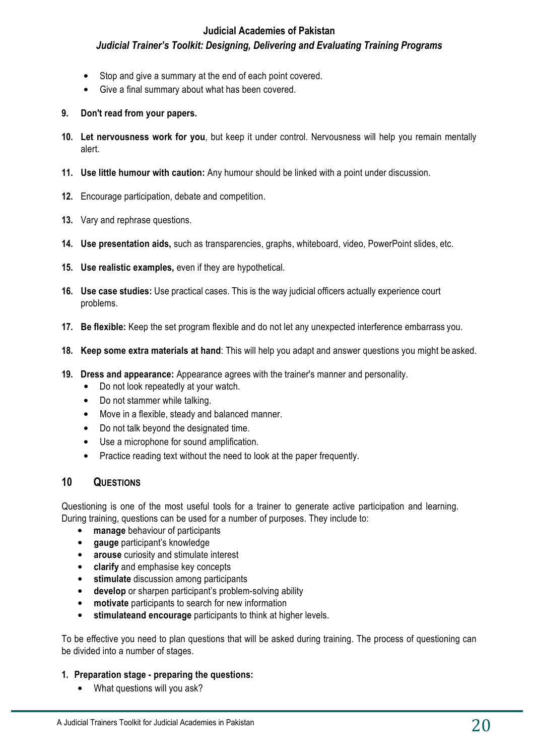- Stop and give a summary at the end of each point covered.
- Give a final summary about what has been covered.
- **9. Don't read from your papers.**
- **10. Let nervousness work for you**, but keep it under control. Nervousness will help you remain mentally alert.
- **11. Use little humour with caution:** Any humour should be linked with a point under discussion.
- **12.** Encourage participation, debate and competition.
- **13.** Vary and rephrase questions.
- **14. Use presentation aids,** such as transparencies, graphs, whiteboard, video, PowerPoint slides, etc.
- **15. Use realistic examples,** even if they are hypothetical.
- **16. Use case studies:** Use practical cases. This is the way judicial officers actually experience court problems.
- **17. Be flexible:** Keep the set program flexible and do not let any unexpected interference embarrass you.
- **18. Keep some extra materials at hand**: This will help you adapt and answer questions you might be asked.
- **19. Dress and appearance:** Appearance agrees with the trainer's manner and personality.
	- Do not look repeatedly at your watch.
	- Do not stammer while talking.
	- Move in a flexible, steady and balanced manner.
	- Do not talk beyond the designated time.
	- Use a microphone for sound amplification.
	- Practice reading text without the need to look at the paper frequently.

#### **10 QUESTIONS**

Questioning is one of the most useful tools for a trainer to generate active participation and learning. During training, questions can be used for a number of purposes. They include to:

- **manage** behaviour of participants
- **gauge** participant's knowledge
- **arouse** curiosity and stimulate interest
- **clarify** and emphasise key concepts
- **stimulate** discussion among participants
- **develop** or sharpen participant's problem-solving ability
- **motivate** participants to search for new information
- **stimulateand encourage** participants to think at higher levels.

To be effective you need to plan questions that will be asked during training. The process of questioning can be divided into a number of stages.

#### **1. Preparation stage - preparing the questions:**

• What questions will you ask?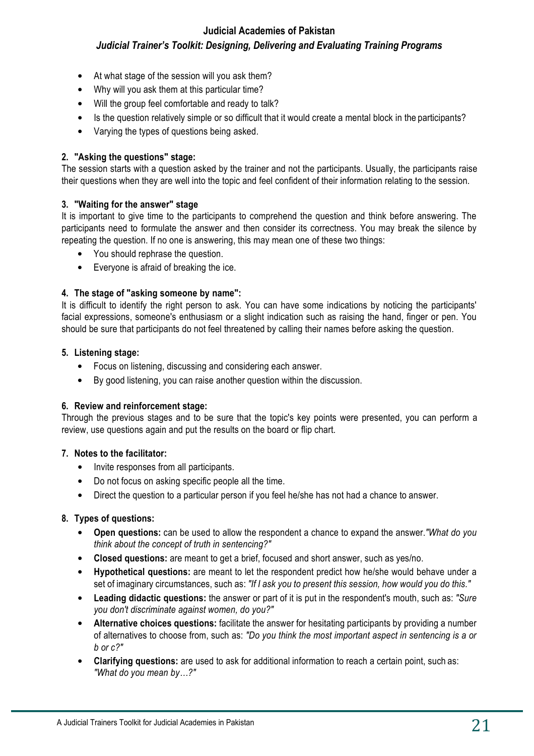#### **Judicial Academies of Pakistan**

### *Judicial Trainer's Toolkit: Designing, Delivering and Evaluating Training Programs*

- At what stage of the session will you ask them?
- Why will you ask them at this particular time?
- Will the group feel comfortable and ready to talk?
- Is the question relatively simple or so difficult that it would create a mental block in the participants?
- Varying the types of questions being asked.

#### **2. "Asking the questions" stage:**

The session starts with a question asked by the trainer and not the participants. Usually, the participants raise their questions when they are well into the topic and feel confident of their information relating to the session.

#### **3. "Waiting for the answer" stage**

It is important to give time to the participants to comprehend the question and think before answering. The participants need to formulate the answer and then consider its correctness. You may break the silence by repeating the question. If no one is answering, this may mean one of these two things:

- You should rephrase the question.
- Everyone is afraid of breaking the ice.

#### **4. The stage of "asking someone by name":**

It is difficult to identify the right person to ask. You can have some indications by noticing the participants' facial expressions, someone's enthusiasm or a slight indication such as raising the hand, finger or pen. You should be sure that participants do not feel threatened by calling their names before asking the question.

#### **5. Listening stage:**

- Focus on listening, discussing and considering each answer.
- By good listening, you can raise another question within the discussion.

#### **6. Review and reinforcement stage:**

Through the previous stages and to be sure that the topic's key points were presented, you can perform a review, use questions again and put the results on the board or flip chart.

#### **7. Notes to the facilitator:**

- Invite responses from all participants.
- Do not focus on asking specific people all the time.
- Direct the question to a particular person if you feel he/she has not had a chance to answer.

#### **8. Types of questions:**

- **Open questions:** can be used to allow the respondent a chance to expand the answer.*"What do you think about the concept of truth in sentencing?"*
- **Closed questions:** are meant to get a brief, focused and short answer, such as yes/no.
- **Hypothetical questions:** are meant to let the respondent predict how he/she would behave under a set of imaginary circumstances, such as: *"If I ask you to present this session, how would you do this."*
- **Leading didactic questions:** the answer or part of it is put in the respondent's mouth, such as: *"Sure you don't discriminate against women, do you?"*
- Alternative choices questions: facilitate the answer for hesitating participants by providing a number of alternatives to choose from, such as: *"Do you think the most important aspect in sentencing is a or b or c?"*
- **Clarifying questions:** are used to ask for additional information to reach a certain point, such as: *"What do you mean by…?"*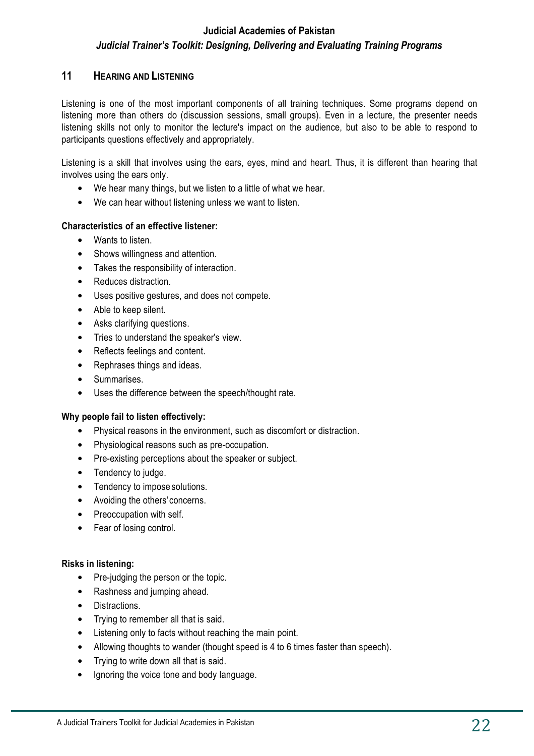#### **11 HEARING AND LISTENING**

Listening is one of the most important components of all training techniques. Some programs depend on listening more than others do (discussion sessions, small groups). Even in a lecture, the presenter needs listening skills not only to monitor the lecture's impact on the audience, but also to be able to respond to participants questions effectively and appropriately.

Listening is a skill that involves using the ears, eyes, mind and heart. Thus, it is different than hearing that involves using the ears only.

- We hear many things, but we listen to a little of what we hear.
- We can hear without listening unless we want to listen.

#### **Characteristics of an effective listener:**

- Wants to listen.
- Shows willingness and attention.
- Takes the responsibility of interaction.
- Reduces distraction.
- Uses positive gestures, and does not compete.
- Able to keep silent.
- Asks clarifying questions.
- Tries to understand the speaker's view.
- Reflects feelings and content.
- Rephrases things and ideas.
- Summarises.
- Uses the difference between the speech/thought rate.

#### **Why people fail to listen effectively:**

- Physical reasons in the environment, such as discomfort or distraction.
- Physiological reasons such as pre-occupation.
- Pre-existing perceptions about the speaker or subject.
- Tendency to judge.
- Tendency to impose solutions.
- Avoiding the others' concerns.
- Preoccupation with self.
- Fear of losing control.

#### **Risks in listening:**

- Pre-judging the person or the topic.
- Rashness and jumping ahead.
- Distractions.
- Trying to remember all that is said.
- Listening only to facts without reaching the main point.
- Allowing thoughts to wander (thought speed is 4 to 6 times faster than speech).
- Trying to write down all that is said.
- Ignoring the voice tone and body language.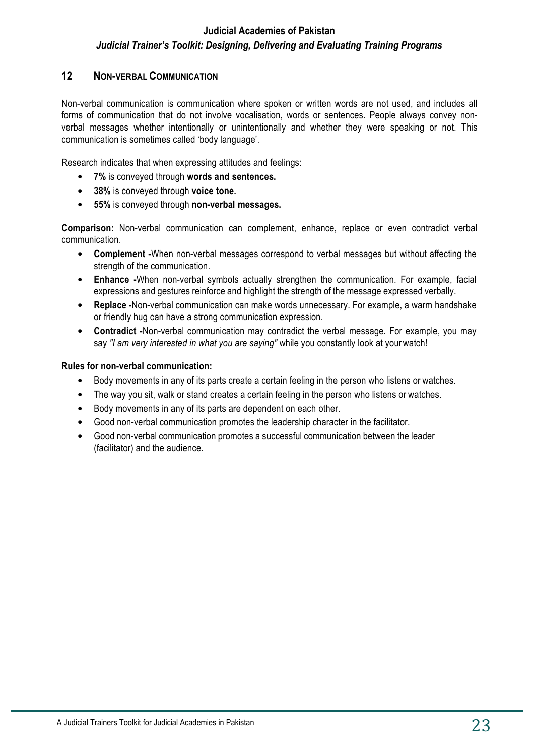#### **12 NON-VERBAL COMMUNICATION**

Non-verbal communication is communication where spoken or written words are not used, and includes all forms of communication that do not involve vocalisation, words or sentences. People always convey nonverbal messages whether intentionally or unintentionally and whether they were speaking or not. This communication is sometimes called 'body language'.

Research indicates that when expressing attitudes and feelings:

- **7%** is conveyed through **words and sentences.**
- **38%** is conveyed through **voice tone.**
- **55%** is conveyed through **non-verbal messages.**

**Comparison:** Non-verbal communication can complement, enhance, replace or even contradict verbal communication.

- **Complement -**When non-verbal messages correspond to verbal messages but without affecting the strength of the communication.
- **Enhance -**When non-verbal symbols actually strengthen the communication. For example, facial expressions and gestures reinforce and highlight the strength of the message expressed verbally.
- **Replace -**Non-verbal communication can make words unnecessary. For example, a warm handshake or friendly hug can have a strong communication expression.
- **Contradict -**Non-verbal communication may contradict the verbal message. For example, you may say *"I am very interested in what you are saying"* while you constantly look at your watch!

#### **Rules for non-verbal communication:**

- Body movements in any of its parts create a certain feeling in the person who listens or watches.
- The way you sit, walk or stand creates a certain feeling in the person who listens or watches.
- Body movements in any of its parts are dependent on each other.
- Good non-verbal communication promotes the leadership character in the facilitator.
- Good non-verbal communication promotes a successful communication between the leader (facilitator) and the audience.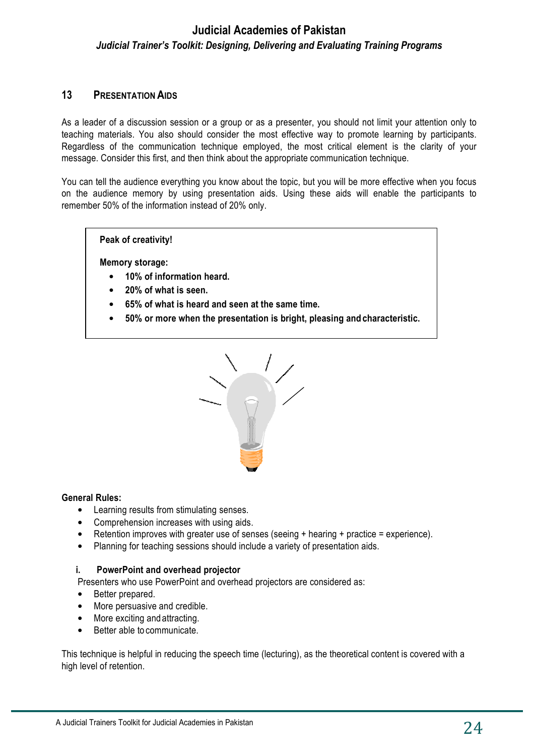#### **13 PRESENTATION AIDS**

As a leader of a discussion session or a group or as a presenter, you should not limit your attention only to teaching materials. You also should consider the most effective way to promote learning by participants. Regardless of the communication technique employed, the most critical element is the clarity of your message. Consider this first, and then think about the appropriate communication technique.

You can tell the audience everything you know about the topic, but you will be more effective when you focus on the audience memory by using presentation aids. Using these aids will enable the participants to remember 50% of the information instead of 20% only.

**Peak of creativity!**

**Memory storage:**

- **10% of information heard.**
- **20% of what is seen.**
- **65% of what is heard and seen at the same time.**
- **50% or more when the presentation is bright, pleasing and characteristic.**



#### **General Rules:**

- Learning results from stimulating senses.
- Comprehension increases with using aids.
- Retention improves with greater use of senses (seeing + hearing + practice = experience).
- Planning for teaching sessions should include a variety of presentation aids.

#### **i. PowerPoint and overhead projector**

Presenters who use PowerPoint and overhead projectors are considered as:

- Better prepared.
- More persuasive and credible.
- More exciting and attracting.
- Better able to communicate.

This technique is helpful in reducing the speech time (lecturing), as the theoretical content is covered with a high level of retention.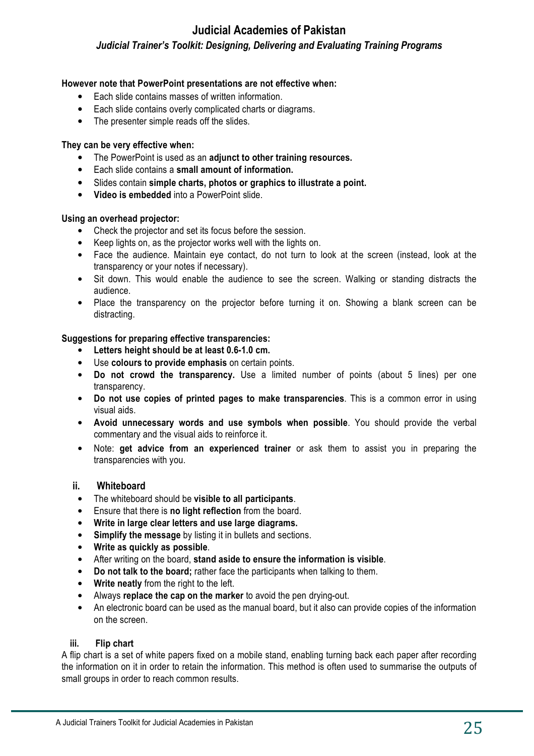#### **However note that PowerPoint presentations are not effective when:**

- Each slide contains masses of written information.
- Each slide contains overly complicated charts or diagrams.
- The presenter simple reads off the slides.

#### **They can be very effective when:**

- The PowerPoint is used as an **adjunct to other training resources.**
- Each slide contains a **small amount of information.**
- Slides contain **simple charts, photos or graphics to illustrate a point.**
- **Video is embedded** into a PowerPoint slide.

#### **Using an overhead projector:**

- Check the projector and set its focus before the session.
- Keep lights on, as the projector works well with the lights on.
- Face the audience. Maintain eye contact, do not turn to look at the screen (instead, look at the transparency or your notes if necessary).
- Sit down. This would enable the audience to see the screen. Walking or standing distracts the audience.
- Place the transparency on the projector before turning it on. Showing a blank screen can be distracting.

#### **Suggestions for preparing effective transparencies:**

- **Letters height should be at least 0.6-1.0 cm.**
- Use **colours to provide emphasis** on certain points.
- **Do not crowd the transparency.** Use a limited number of points (about 5 lines) per one transparency.
- **Do not use copies of printed pages to make transparencies**. This is a common error in using visual aids.
- **Avoid unnecessary words and use symbols when possible**. You should provide the verbal commentary and the visual aids to reinforce it.
- Note: **get advice from an experienced trainer** or ask them to assist you in preparing the transparencies with you.

#### **ii. Whiteboard**

- The whiteboard should be **visible to all participants**.
- Ensure that there is **no light reflection** from the board.
- **Write in large clear letters and use large diagrams.**
- **Simplify the message** by listing it in bullets and sections.
- **Write as quickly as possible**.
- After writing on the board, **stand aside to ensure the information is visible**.
- **Do not talk to the board;** rather face the participants when talking to them.
- **Write neatly** from the right to the left.
- Always **replace the cap on the marker** to avoid the pen drying-out.
- An electronic board can be used as the manual board, but it also can provide copies of the information on the screen.

#### **iii. Flip chart**

A flip chart is a set of white papers fixed on a mobile stand, enabling turning back each paper after recording the information on it in order to retain the information. This method is often used to summarise the outputs of small groups in order to reach common results.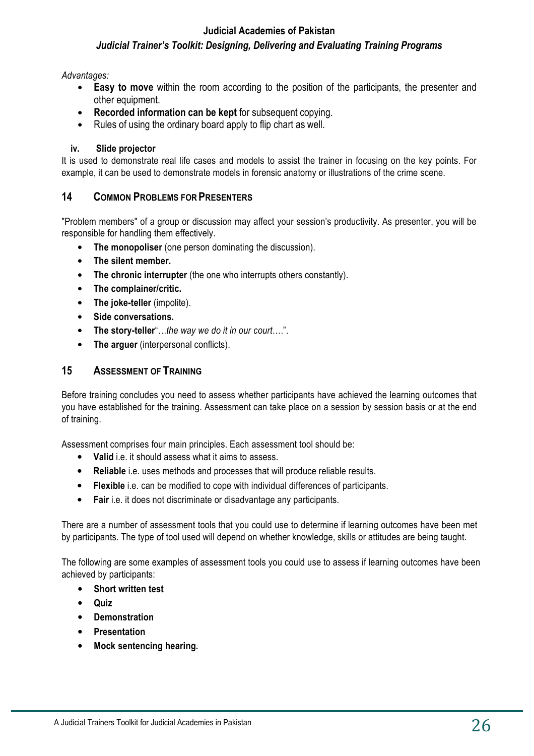#### **Judicial Academies of Pakistan**

### *Judicial Trainer's Toolkit: Designing, Delivering and Evaluating Training Programs*

#### *Advantages:*

- **Easy to move** within the room according to the position of the participants, the presenter and other equipment.
- **Recorded information can be kept** for subsequent copying.
- Rules of using the ordinary board apply to flip chart as well.

#### **iv. Slide projector**

It is used to demonstrate real life cases and models to assist the trainer in focusing on the key points. For example, it can be used to demonstrate models in forensic anatomy or illustrations of the crime scene.

#### **14 COMMON PROBLEMS FOR PRESENTERS**

"Problem members" of a group or discussion may affect your session's productivity. As presenter, you will be responsible for handling them effectively.

- **The monopoliser** (one person dominating the discussion).
- **The silent member.**
- **The chronic interrupter** (the one who interrupts others constantly).
- **The complainer/critic.**
- **The joke-teller** (impolite).
- **Side conversations.**
- **The story-teller**"*…the way we do it in our court*….".
- **The arguer** (interpersonal conflicts).

#### **15 ASSESSMENT OF TRAINING**

Before training concludes you need to assess whether participants have achieved the learning outcomes that you have established for the training. Assessment can take place on a session by session basis or at the end of training.

Assessment comprises four main principles. Each assessment tool should be:

- **Valid** i.e. it should assess what it aims to assess.
- **Reliable** i.e. uses methods and processes that will produce reliable results.
- **Flexible** i.e. can be modified to cope with individual differences of participants.
- **Fair** i.e. it does not discriminate or disadvantage any participants.

There are a number of assessment tools that you could use to determine if learning outcomes have been met by participants. The type of tool used will depend on whether knowledge, skills or attitudes are being taught.

The following are some examples of assessment tools you could use to assess if learning outcomes have been achieved by participants:

- **Short written test**
- **Quiz**
- **Demonstration**
- **Presentation**
- **Mock sentencing hearing.**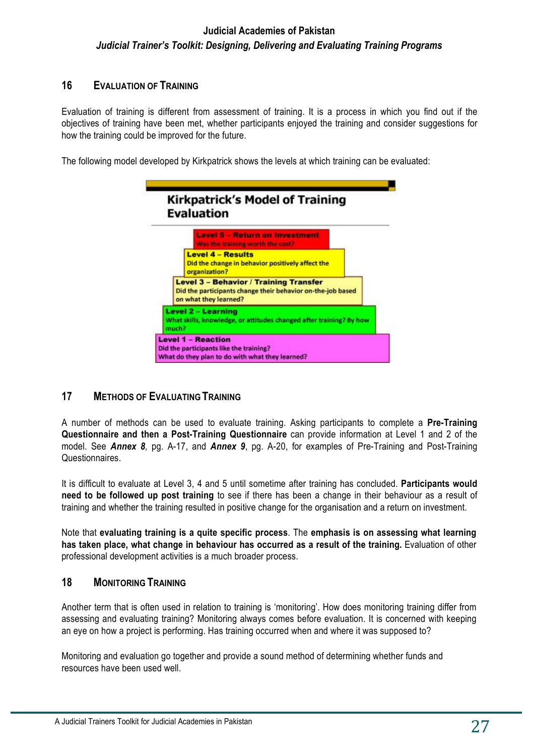#### **16 EVALUATION OF TRAINING**

Evaluation of training is different from assessment of training. It is a process in which you find out if the objectives of training have been met, whether participants enjoyed the training and consider suggestions for how the training could be improved for the future.

The following model developed by Kirkpatrick shows the levels at which training can be evaluated:



## **17 METHODS OF EVALUATING TRAINING**

A number of methods can be used to evaluate training. Asking participants to complete a **Pre-Training Questionnaire and then a Post-Training Questionnaire** can provide information at Level 1 and 2 of the model. See *Annex 8,* pg. A-17, and *Annex 9*, pg. A-20, for examples of Pre-Training and Post-Training Questionnaires.

It is difficult to evaluate at Level 3, 4 and 5 until sometime after training has concluded. **Participants would need to be followed up post training** to see if there has been a change in their behaviour as a result of training and whether the training resulted in positive change for the organisation and a return on investment.

Note that **evaluating training is a quite specific process**. The **emphasis is on assessing what learning**  has taken place, what change in behaviour has occurred as a result of the training. Evaluation of other professional development activities is a much broader process.

### **18 MONITORING TRAINING**

Another term that is often used in relation to training is 'monitoring'. How does monitoring training differ from assessing and evaluating training? Monitoring always comes before evaluation. It is concerned with keeping an eye on how a project is performing. Has training occurred when and where it was supposed to?

Monitoring and evaluation go together and provide a sound method of determining whether funds and resources have been used well.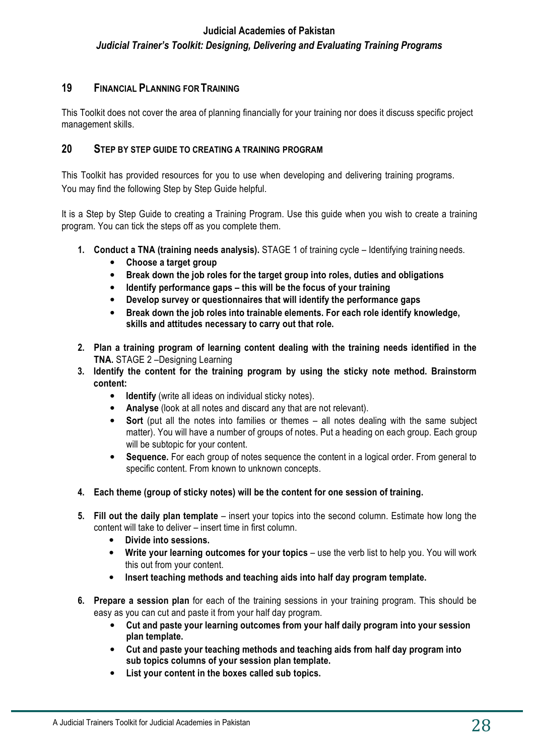#### **19 FINANCIAL PLANNING FOR TRAINING**

This Toolkit does not cover the area of planning financially for your training nor does it discuss specific project management skills.

#### **20 STEP BY STEP GUIDE TO CREATING A TRAINING PROGRAM**

This Toolkit has provided resources for you to use when developing and delivering training programs. You may find the following Step by Step Guide helpful.

It is a Step by Step Guide to creating a Training Program. Use this guide when you wish to create a training program. You can tick the steps off as you complete them.

- **1. Conduct a TNA (training needs analysis).** STAGE 1 of training cycle Identifying training needs.
	- **Choose a target group**
	- **Break down the job roles for the target group into roles, duties and obligations**
	- **Identify performance gaps this will be the focus of your training**
	- **Develop survey or questionnaires that will identify the performance gaps**
	- **Break down the job roles into trainable elements. For each role identify knowledge, skills and attitudes necessary to carry out that role.**
- **2. Plan a training program of learning content dealing with the training needs identified in the TNA.** STAGE 2 –Designing Learning
- **3. Identify the content for the training program by using the sticky note method. Brainstorm content:**
	- **Identify** (write all ideas on individual sticky notes).
	- **Analyse** (look at all notes and discard any that are not relevant).
	- **Sort** (put all the notes into families or themes all notes dealing with the same subject matter). You will have a number of groups of notes. Put a heading on each group. Each group will be subtopic for your content.
	- **Sequence.** For each group of notes sequence the content in a logical order. From general to specific content. From known to unknown concepts.
- **4. Each theme (group of sticky notes) will be the content for one session of training.**
- **5. Fill out the daily plan template**  insert your topics into the second column. Estimate how long the content will take to deliver – insert time in first column.
	- **Divide into sessions.**
	- Write your learning outcomes for your topics use the verb list to help you. You will work this out from your content.
	- **Insert teaching methods and teaching aids into half day program template.**
- **6. Prepare a session plan** for each of the training sessions in your training program. This should be easy as you can cut and paste it from your half day program.
	- **Cut and paste your learning outcomes from your half daily program into your session plan template.**
	- **Cut and paste your teaching methods and teaching aids from half day program into sub topics columns of your session plan template.**
	- **List your content in the boxes called sub topics.**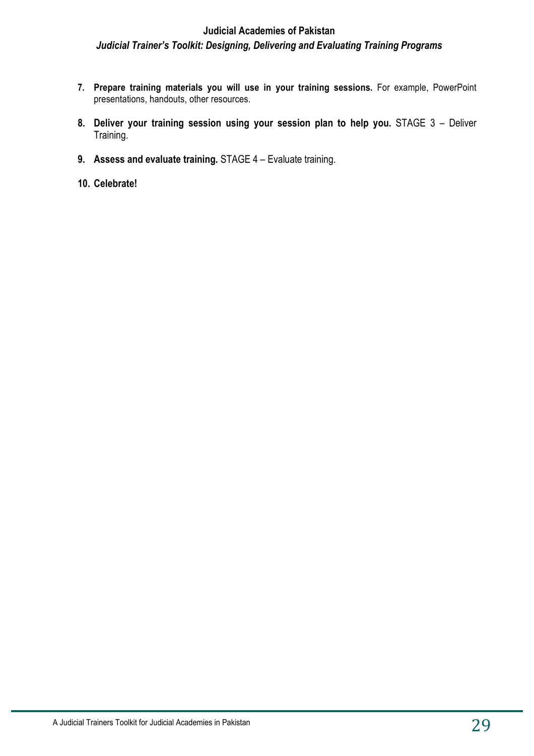- **7. Prepare training materials you will use in your training sessions.** For example, PowerPoint presentations, handouts, other resources.
- **8. Deliver your training session using your session plan to help you.** STAGE 3 Deliver Training.
- **9. Assess and evaluate training.** STAGE 4 Evaluate training.
- **10. Celebrate!**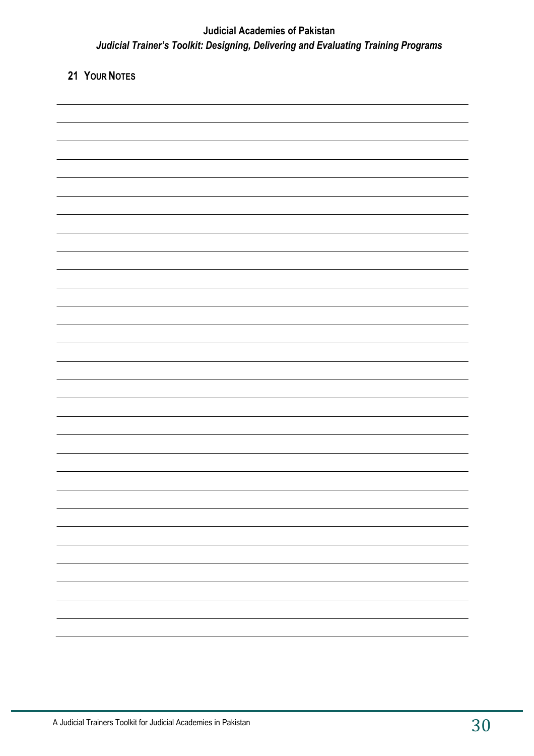## **21 YOUR NOTES**

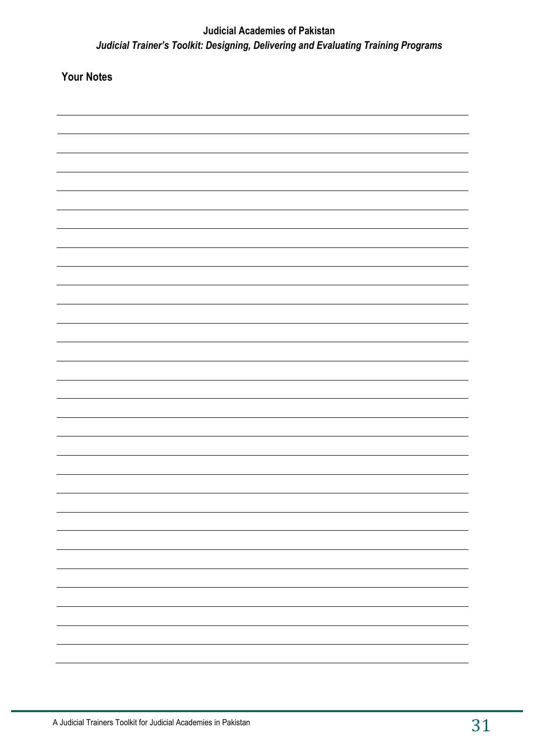**Your Notes**

| ۰ |
|---|
|   |
|   |
|   |
|   |
|   |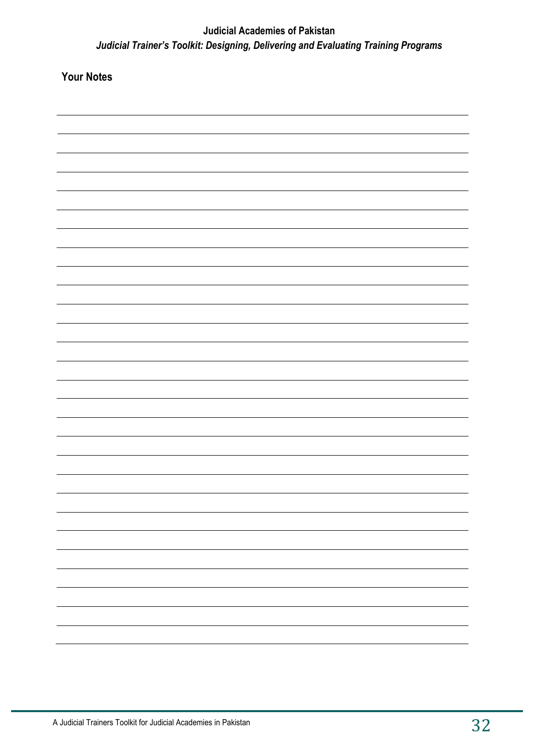**Your Notes**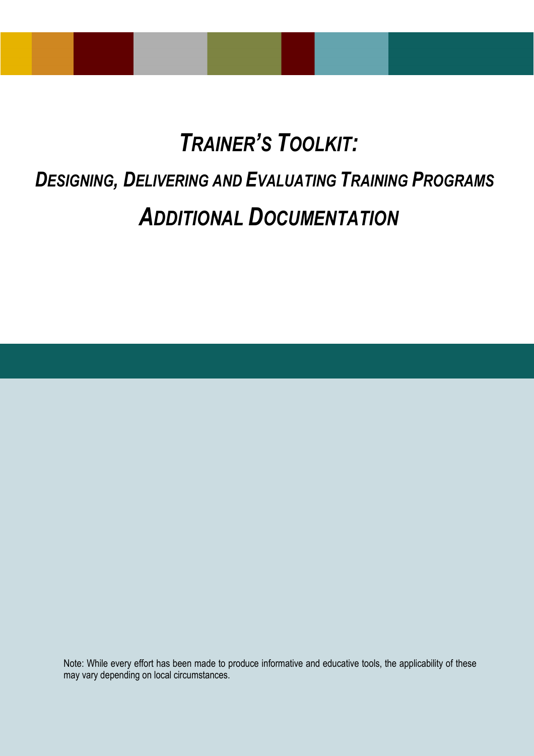# *TRAINER'S TOOLKIT:*

## *DESIGNING, DELIVERING AND EVALUATING TRAINING PROGRAMS*

## *ADDITIONAL DOCUMENTATION*

Note: While every effort has been made to produce informative and educative tools, the applicability of these may vary depending on local circumstances.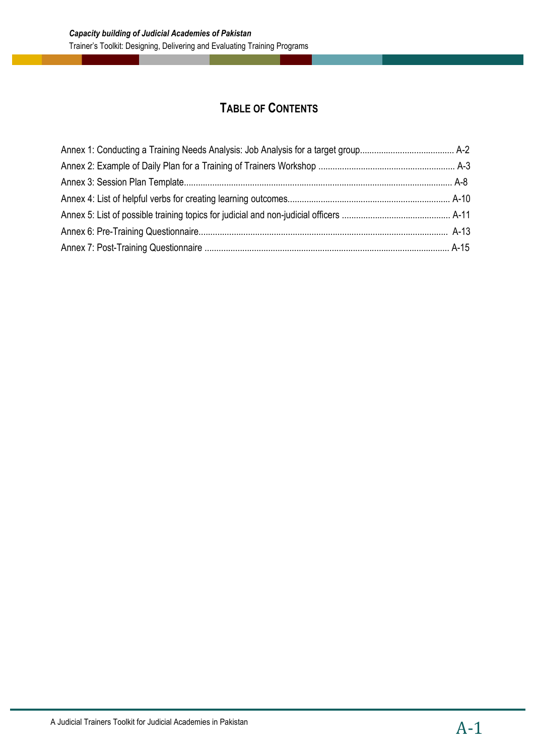## **TABLE OF CONTENTS**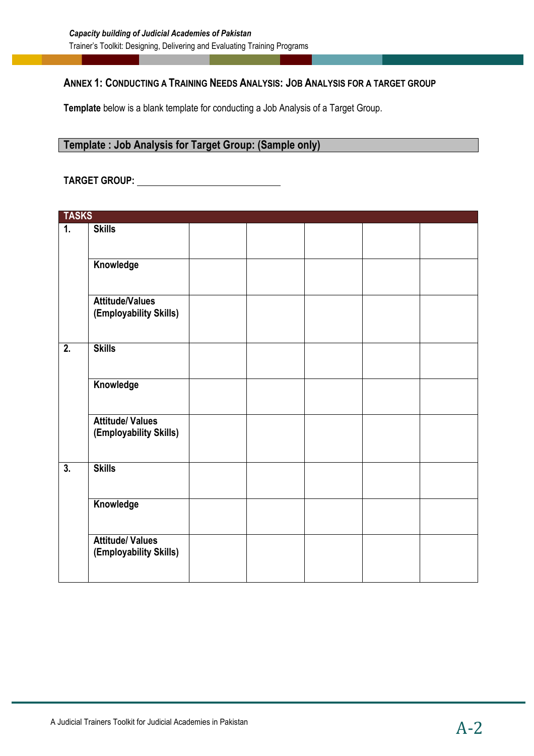#### **ANNEX 1: CONDUCTING A TRAINING NEEDS ANALYSIS: JOB ANALYSIS FOR A TARGET GROUP**

**Template** below is a blank template for conducting a Job Analysis of a Target Group.

### **Template : Job Analysis for Target Group: (Sample only)**

#### **TARGET GROUP:**

| <b>TASKS</b>     |                                                   |  |  |  |
|------------------|---------------------------------------------------|--|--|--|
| $\overline{1}$ . | <b>Skills</b>                                     |  |  |  |
|                  | Knowledge                                         |  |  |  |
|                  | <b>Attitude/Values</b><br>(Employability Skills)  |  |  |  |
| $\overline{2}$ . | <b>Skills</b>                                     |  |  |  |
|                  | Knowledge                                         |  |  |  |
|                  | <b>Attitude/ Values</b><br>(Employability Skills) |  |  |  |
| $\overline{3}$ . | <b>Skills</b>                                     |  |  |  |
|                  | Knowledge                                         |  |  |  |
|                  | <b>Attitude/ Values</b><br>(Employability Skills) |  |  |  |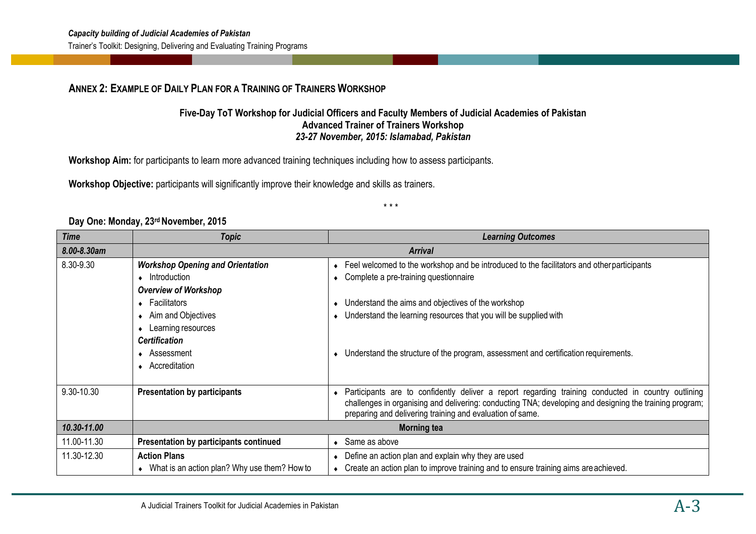#### **ANNEX 2: EXAMPLE OF DAILY PLAN FOR A TRAINING OF TRAINERS WORKSHOP**

#### **Five-Day ToT Workshop for Judicial Officers and Faculty Members of Judicial Academies of Pakistan Advanced Trainer of Trainers Workshop** *23-27 November, 2015: Islamabad, Pakistan*

**Workshop Aim:** for participants to learn more advanced training techniques including how to assess participants.

**Workshop Objective:** participants will significantly improve their knowledge and skills as trainers.

\* \* \*

#### **Day One: Monday, 23rd November, 2015**

| Time        | <b>Topic</b>                                   | <b>Learning Outcomes</b>                                                                                                                                             |  |  |
|-------------|------------------------------------------------|----------------------------------------------------------------------------------------------------------------------------------------------------------------------|--|--|
| 8.00-8.30am |                                                | <b>Arrival</b>                                                                                                                                                       |  |  |
| 8.30-9.30   | <b>Workshop Opening and Orientation</b>        | Feel welcomed to the workshop and be introduced to the facilitators and other participants                                                                           |  |  |
|             | $\bullet$ Introduction                         | Complete a pre-training questionnaire                                                                                                                                |  |  |
|             | <b>Overview of Workshop</b>                    |                                                                                                                                                                      |  |  |
|             | $\leftarrow$ Facilitators                      | Understand the aims and objectives of the workshop<br>$\bullet$                                                                                                      |  |  |
|             | • Aim and Objectives                           | Understand the learning resources that you will be supplied with                                                                                                     |  |  |
|             | Learning resources                             |                                                                                                                                                                      |  |  |
|             | <b>Certification</b>                           |                                                                                                                                                                      |  |  |
|             | $\triangle$ Assessment                         | Understand the structure of the program, assessment and certification requirements.                                                                                  |  |  |
|             | • Accreditation                                |                                                                                                                                                                      |  |  |
|             |                                                |                                                                                                                                                                      |  |  |
| 9.30-10.30  | <b>Presentation by participants</b>            | • Participants are to confidently deliver a report regarding training conducted in country outlining                                                                 |  |  |
|             |                                                | challenges in organising and delivering: conducting TNA; developing and designing the training program;<br>preparing and delivering training and evaluation of same. |  |  |
| 10.30-11.00 |                                                |                                                                                                                                                                      |  |  |
|             | <b>Morning tea</b>                             |                                                                                                                                                                      |  |  |
| 11.00-11.30 | <b>Presentation by participants continued</b>  | Same as above                                                                                                                                                        |  |  |
| 11.30-12.30 | <b>Action Plans</b>                            | Define an action plan and explain why they are used                                                                                                                  |  |  |
|             | • What is an action plan? Why use them? How to | Create an action plan to improve training and to ensure training aims are achieved.                                                                                  |  |  |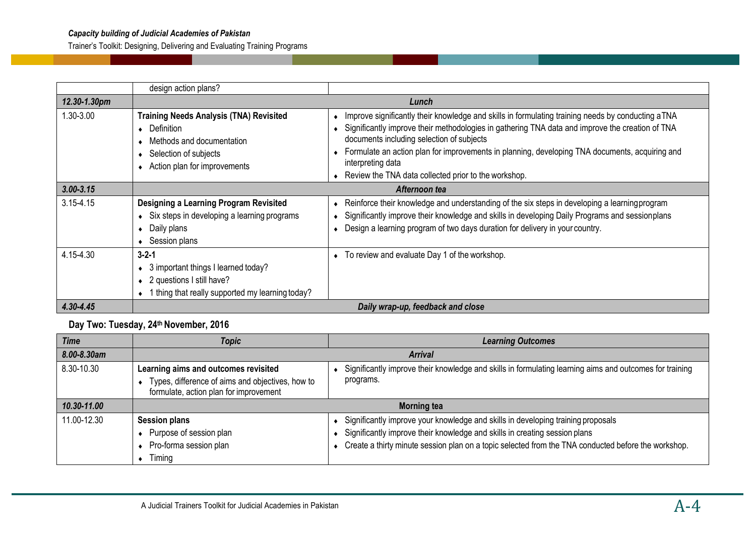Trainer's Toolkit: Designing, Delivering and Evaluating Training Programs

|               | design action plans?                                                                                                                                                                                                                                                                                                                                                                                                                                                                                                                                                                                         |                                                                                                                                                                                                                                                                                     |  |
|---------------|--------------------------------------------------------------------------------------------------------------------------------------------------------------------------------------------------------------------------------------------------------------------------------------------------------------------------------------------------------------------------------------------------------------------------------------------------------------------------------------------------------------------------------------------------------------------------------------------------------------|-------------------------------------------------------------------------------------------------------------------------------------------------------------------------------------------------------------------------------------------------------------------------------------|--|
| 12.30-1.30pm  |                                                                                                                                                                                                                                                                                                                                                                                                                                                                                                                                                                                                              | Lunch                                                                                                                                                                                                                                                                               |  |
| 1.30-3.00     | Improve significantly their knowledge and skills in formulating training needs by conducting aTNA<br>Training Needs Analysis (TNA) Revisited<br>Significantly improve their methodologies in gathering TNA data and improve the creation of TNA<br>$\bullet$ Definition<br>$\bullet$<br>documents including selection of subjects<br>Methods and documentation<br>Formulate an action plan for improvements in planning, developing TNA documents, acquiring and<br>◆ Selection of subjects<br>interpreting data<br>• Action plan for improvements<br>◆ Review the TNA data collected prior to the workshop. |                                                                                                                                                                                                                                                                                     |  |
| $3.00 - 3.15$ | Afternoon tea                                                                                                                                                                                                                                                                                                                                                                                                                                                                                                                                                                                                |                                                                                                                                                                                                                                                                                     |  |
| $3.15 - 4.15$ | <b>Designing a Learning Program Revisited</b><br>• Six steps in developing a learning programs<br>$\bullet$ Daily plans<br>◆ Session plans                                                                                                                                                                                                                                                                                                                                                                                                                                                                   | • Reinforce their knowledge and understanding of the six steps in developing a learning program<br>Significantly improve their knowledge and skills in developing Daily Programs and sessionplans<br>• Design a learning program of two days duration for delivery in your country. |  |
| 4.15-4.30     | $3 - 2 - 1$<br>$\bullet$ 3 important things I learned today?<br>• 2 questions I still have?<br>• 1 thing that really supported my learning today?                                                                                                                                                                                                                                                                                                                                                                                                                                                            | • To review and evaluate Day 1 of the workshop.                                                                                                                                                                                                                                     |  |
| 4.30-4.45     | Daily wrap-up, feedback and close                                                                                                                                                                                                                                                                                                                                                                                                                                                                                                                                                                            |                                                                                                                                                                                                                                                                                     |  |

#### **Day Two: Tuesday, 24th November, 2016**

| <b>Time</b>                                                                                        | <b>Topic</b>                                                                                                                                                                                                                                               | <b>Learning Outcomes</b>                                                                                                                                                                                                                                              |  |
|----------------------------------------------------------------------------------------------------|------------------------------------------------------------------------------------------------------------------------------------------------------------------------------------------------------------------------------------------------------------|-----------------------------------------------------------------------------------------------------------------------------------------------------------------------------------------------------------------------------------------------------------------------|--|
| 8.00-8.30am                                                                                        | <b>Arrival</b>                                                                                                                                                                                                                                             |                                                                                                                                                                                                                                                                       |  |
| 8.30-10.30                                                                                         | Significantly improve their knowledge and skills in formulating learning aims and outcomes for training<br>Learning aims and outcomes revisited<br>Types, difference of aims and objectives, how to<br>programs.<br>formulate, action plan for improvement |                                                                                                                                                                                                                                                                       |  |
| 10.30-11.00                                                                                        | <b>Morning tea</b>                                                                                                                                                                                                                                         |                                                                                                                                                                                                                                                                       |  |
| 11.00-12.30<br><b>Session plans</b><br>Purpose of session plan<br>Pro-forma session plan<br>Timing |                                                                                                                                                                                                                                                            | Significantly improve your knowledge and skills in developing training proposals<br>Significantly improve their knowledge and skills in creating session plans<br>Create a thirty minute session plan on a topic selected from the TNA conducted before the workshop. |  |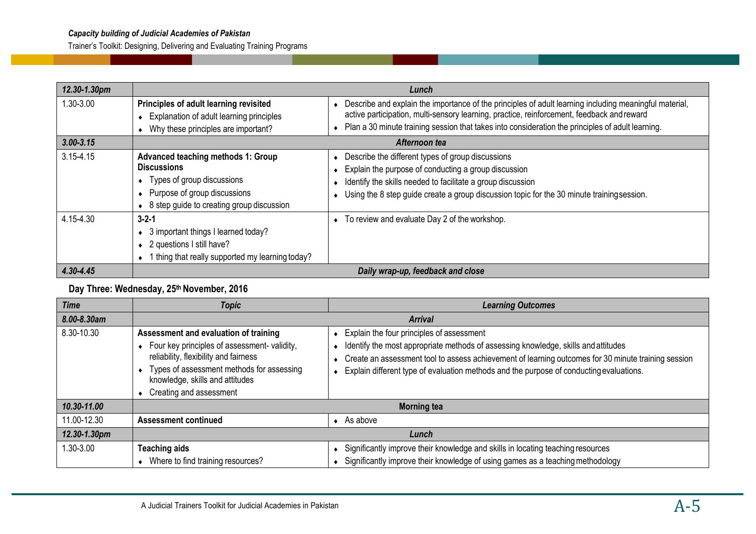Trainer's Toolkit: Designing, Delivering and Evaluating Training Programs

| 12.30-1.30pm  |                                                                                                                                                                     | Lunch                                                                                                                                                                                                                                                                                                       |
|---------------|---------------------------------------------------------------------------------------------------------------------------------------------------------------------|-------------------------------------------------------------------------------------------------------------------------------------------------------------------------------------------------------------------------------------------------------------------------------------------------------------|
| 1.30-3.00     | Principles of adult learning revisited<br>Explanation of adult learning principles<br>Why these principles are important?                                           | Describe and explain the importance of the principles of adult learning including meaningful material,<br>active participation, multi-sensory learning, practice, reinforcement, feedback and reward<br>• Plan a 30 minute training session that takes into consideration the principles of adult learning. |
| $3.00 - 3.15$ |                                                                                                                                                                     | Afternoon tea                                                                                                                                                                                                                                                                                               |
| $3.15 - 4.15$ | Advanced teaching methods 1: Group<br><b>Discussions</b><br>Types of group discussions<br>Purpose of group discussions<br>8 step guide to creating group discussion | Describe the different types of group discussions<br>Explain the purpose of conducting a group discussion<br>Identify the skills needed to facilitate a group discussion<br>• Using the 8 step guide create a group discussion topic for the 30 minute trainingsession.                                     |
| 4.15-4.30     | $3 - 2 - 1$<br>3 important things I learned today?<br>2 questions I still have?<br>1 thing that really supported my learning today?<br>$\bullet$                    | • To review and evaluate Day 2 of the workshop.                                                                                                                                                                                                                                                             |
| 4.30-4.45     |                                                                                                                                                                     | Daily wrap-up, feedback and close                                                                                                                                                                                                                                                                           |

#### **Day Three: Wednesday, 25th November, 2016**

| <b>Time</b>  | <b>Topic</b>                                                                                                                                                                                                                                  | <b>Learning Outcomes</b>                                                                                                                                                                                                                                                                                                          |
|--------------|-----------------------------------------------------------------------------------------------------------------------------------------------------------------------------------------------------------------------------------------------|-----------------------------------------------------------------------------------------------------------------------------------------------------------------------------------------------------------------------------------------------------------------------------------------------------------------------------------|
| 8.00-8.30am  |                                                                                                                                                                                                                                               | <b>Arrival</b>                                                                                                                                                                                                                                                                                                                    |
| 8.30-10.30   | Assessment and evaluation of training<br>• Four key principles of assessment- validity,<br>reliability, flexibility and fairness<br>• Types of assessment methods for assessing<br>knowledge, skills and attitudes<br>Creating and assessment | Explain the four principles of assessment<br>Identify the most appropriate methods of assessing knowledge, skills and attitudes<br>Create an assessment tool to assess achievement of learning outcomes for 30 minute training session<br>Explain different type of evaluation methods and the purpose of conducting evaluations. |
| 10.30-11.00  |                                                                                                                                                                                                                                               | <b>Morning tea</b>                                                                                                                                                                                                                                                                                                                |
| 11.00-12.30  | <b>Assessment continued</b>                                                                                                                                                                                                                   | As above                                                                                                                                                                                                                                                                                                                          |
| 12.30-1.30pm |                                                                                                                                                                                                                                               | Lunch                                                                                                                                                                                                                                                                                                                             |
| 1.30-3.00    | <b>Teaching aids</b><br>• Where to find training resources?                                                                                                                                                                                   | Significantly improve their knowledge and skills in locating teaching resources<br>Significantly improve their knowledge of using games as a teaching methodology                                                                                                                                                                 |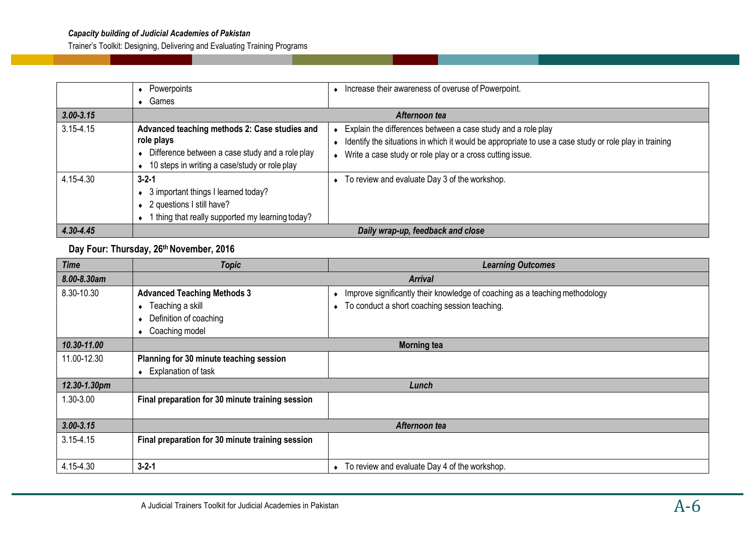Trainer's Toolkit: Designing, Delivering and Evaluating Training Programs

|               | Powerpoints                                                                                                                                                     | Increase their awareness of overuse of Powerpoint.                                                                                                                                                                                   |
|---------------|-----------------------------------------------------------------------------------------------------------------------------------------------------------------|--------------------------------------------------------------------------------------------------------------------------------------------------------------------------------------------------------------------------------------|
|               | Games                                                                                                                                                           |                                                                                                                                                                                                                                      |
| $3.00 - 3.15$ |                                                                                                                                                                 | Afternoon tea                                                                                                                                                                                                                        |
| $3.15 - 4.15$ | Advanced teaching methods 2: Case studies and<br>role plays<br>Difference between a case study and a role play<br>10 steps in writing a case/study or role play | Explain the differences between a case study and a role play<br>Identify the situations in which it would be appropriate to use a case study or role play in training<br>• Write a case study or role play or a cross cutting issue. |
| 4.15-4.30     | $3 - 2 - 1$<br>3 important things I learned today?<br>2 questions I still have?<br>I thing that really supported my learning today?                             | To review and evaluate Day 3 of the workshop.                                                                                                                                                                                        |
| 4.30-4.45     |                                                                                                                                                                 | Daily wrap-up, feedback and close                                                                                                                                                                                                    |

#### **Day Four: Thursday, 26th November, 2016**

| <b>Time</b>   | <b>Topic</b>                                     | <b>Learning Outcomes</b>                                                    |  |
|---------------|--------------------------------------------------|-----------------------------------------------------------------------------|--|
| 8.00-8.30am   | <b>Arrival</b>                                   |                                                                             |  |
| 8.30-10.30    | <b>Advanced Teaching Methods 3</b>               | Improve significantly their knowledge of coaching as a teaching methodology |  |
|               | Teaching a skill<br>$\bullet$                    | To conduct a short coaching session teaching.<br>$\bullet$                  |  |
|               | Definition of coaching<br>$\bullet$              |                                                                             |  |
|               | Coaching model<br>$\bullet$                      |                                                                             |  |
| 10.30-11.00   |                                                  | <b>Morning tea</b>                                                          |  |
| 11.00-12.30   | Planning for 30 minute teaching session          |                                                                             |  |
|               | Explanation of task<br>$\bullet$                 |                                                                             |  |
| 12.30-1.30pm  |                                                  | Lunch                                                                       |  |
| 1.30-3.00     | Final preparation for 30 minute training session |                                                                             |  |
|               |                                                  |                                                                             |  |
| $3.00 - 3.15$ |                                                  | Afternoon tea                                                               |  |
| $3.15 - 4.15$ | Final preparation for 30 minute training session |                                                                             |  |
|               |                                                  |                                                                             |  |
| 4.15-4.30     | $3 - 2 - 1$                                      | To review and evaluate Day 4 of the workshop.<br>$\bullet$                  |  |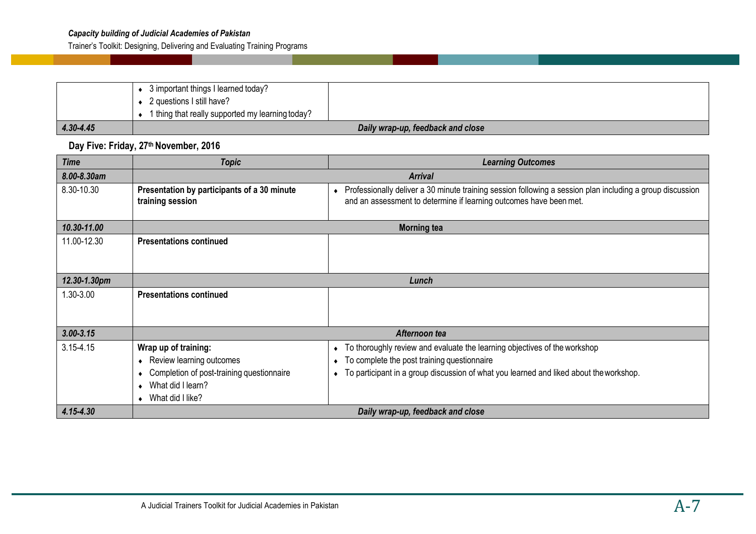#### *Capacity building of Judicial Academies of Pakistan*

Trainer's Toolkit: Designing, Delivering and Evaluating Training Programs

|           | 3 important things I learned today?              |  |
|-----------|--------------------------------------------------|--|
|           | 2 questions I still have?                        |  |
|           | 1 thing that really supported my learning today? |  |
| 4.30-4.45 | Daily wrap-up, feedback and close                |  |

**Day Five: Friday, 27th November, 2016** 

| <b>Time</b>   | <b>Topic</b>                                                                                                                                                               | <b>Learning Outcomes</b>                                                                                                                                                                                                                                  |  |
|---------------|----------------------------------------------------------------------------------------------------------------------------------------------------------------------------|-----------------------------------------------------------------------------------------------------------------------------------------------------------------------------------------------------------------------------------------------------------|--|
| 8.00-8.30am   | <b>Arrival</b>                                                                                                                                                             |                                                                                                                                                                                                                                                           |  |
| 8.30-10.30    | Presentation by participants of a 30 minute<br>training session                                                                                                            | Professionally deliver a 30 minute training session following a session plan including a group discussion<br>$\bullet$<br>and an assessment to determine if learning outcomes have been met.                                                              |  |
| 10.30-11.00   |                                                                                                                                                                            | <b>Morning tea</b>                                                                                                                                                                                                                                        |  |
| 11.00-12.30   | <b>Presentations continued</b>                                                                                                                                             |                                                                                                                                                                                                                                                           |  |
| 12.30-1.30pm  |                                                                                                                                                                            | Lunch                                                                                                                                                                                                                                                     |  |
| 1.30-3.00     | <b>Presentations continued</b>                                                                                                                                             |                                                                                                                                                                                                                                                           |  |
| $3.00 - 3.15$ |                                                                                                                                                                            | Afternoon tea                                                                                                                                                                                                                                             |  |
| $3.15 - 4.15$ | Wrap up of training:<br>Review learning outcomes<br>٠<br>Completion of post-training questionnaire<br>٠<br>What did I learn?<br>$\bullet$<br>What did I like?<br>$\bullet$ | To thoroughly review and evaluate the learning objectives of the workshop<br>$\bullet$<br>To complete the post training questionnaire<br>$\bullet$<br>To participant in a group discussion of what you learned and liked about the workshop.<br>$\bullet$ |  |
| 4.15-4.30     |                                                                                                                                                                            | Daily wrap-up, feedback and close                                                                                                                                                                                                                         |  |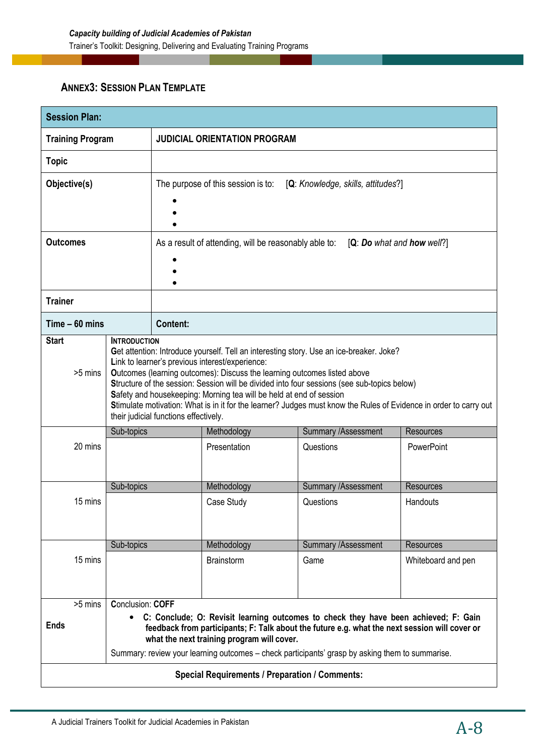## **ANNEX3: SESSION PLAN TEMPLATE**

| <b>Session Plan:</b>    |                           |                                                                                                                                                                                                                                                                                                                                                                                                                                                                                                                                                            |                                                       |                                                                                                                                                                                                                                                                                                                                                  |                                     |
|-------------------------|---------------------------|------------------------------------------------------------------------------------------------------------------------------------------------------------------------------------------------------------------------------------------------------------------------------------------------------------------------------------------------------------------------------------------------------------------------------------------------------------------------------------------------------------------------------------------------------------|-------------------------------------------------------|--------------------------------------------------------------------------------------------------------------------------------------------------------------------------------------------------------------------------------------------------------------------------------------------------------------------------------------------------|-------------------------------------|
| <b>Training Program</b> |                           | <b>JUDICIAL ORIENTATION PROGRAM</b>                                                                                                                                                                                                                                                                                                                                                                                                                                                                                                                        |                                                       |                                                                                                                                                                                                                                                                                                                                                  |                                     |
| <b>Topic</b>            |                           |                                                                                                                                                                                                                                                                                                                                                                                                                                                                                                                                                            |                                                       |                                                                                                                                                                                                                                                                                                                                                  |                                     |
| Objective(s)            |                           |                                                                                                                                                                                                                                                                                                                                                                                                                                                                                                                                                            | The purpose of this session is to:                    | [Q: Knowledge, skills, attitudes?]                                                                                                                                                                                                                                                                                                               |                                     |
|                         |                           |                                                                                                                                                                                                                                                                                                                                                                                                                                                                                                                                                            |                                                       |                                                                                                                                                                                                                                                                                                                                                  |                                     |
|                         |                           |                                                                                                                                                                                                                                                                                                                                                                                                                                                                                                                                                            |                                                       |                                                                                                                                                                                                                                                                                                                                                  |                                     |
| <b>Outcomes</b>         |                           |                                                                                                                                                                                                                                                                                                                                                                                                                                                                                                                                                            | As a result of attending, will be reasonably able to: |                                                                                                                                                                                                                                                                                                                                                  | $[Q: Do$ what and <b>how</b> well?] |
|                         |                           |                                                                                                                                                                                                                                                                                                                                                                                                                                                                                                                                                            |                                                       |                                                                                                                                                                                                                                                                                                                                                  |                                     |
| <b>Trainer</b>          |                           |                                                                                                                                                                                                                                                                                                                                                                                                                                                                                                                                                            |                                                       |                                                                                                                                                                                                                                                                                                                                                  |                                     |
| $Time - 60 mins$        |                           | <b>Content:</b>                                                                                                                                                                                                                                                                                                                                                                                                                                                                                                                                            |                                                       |                                                                                                                                                                                                                                                                                                                                                  |                                     |
| >5 mins                 |                           | Get attention: Introduce yourself. Tell an interesting story. Use an ice-breaker. Joke?<br>Link to learner's previous interest/experience:<br>Outcomes (learning outcomes): Discuss the learning outcomes listed above<br>Structure of the session: Session will be divided into four sessions (see sub-topics below)<br>Safety and housekeeping: Morning tea will be held at end of session<br>Stimulate motivation: What is in it for the learner? Judges must know the Rules of Evidence in order to carry out<br>their judicial functions effectively. |                                                       |                                                                                                                                                                                                                                                                                                                                                  |                                     |
|                         | Sub-topics                |                                                                                                                                                                                                                                                                                                                                                                                                                                                                                                                                                            | Methodology                                           | Summary /Assessment                                                                                                                                                                                                                                                                                                                              | Resources                           |
| 20 mins                 | Presentation<br>Questions |                                                                                                                                                                                                                                                                                                                                                                                                                                                                                                                                                            | PowerPoint                                            |                                                                                                                                                                                                                                                                                                                                                  |                                     |
|                         | Sub-topics                |                                                                                                                                                                                                                                                                                                                                                                                                                                                                                                                                                            | Methodology                                           | Summary / Assessment                                                                                                                                                                                                                                                                                                                             | <b>Resources</b>                    |
| 15 mins                 |                           |                                                                                                                                                                                                                                                                                                                                                                                                                                                                                                                                                            | Case Study                                            | Questions                                                                                                                                                                                                                                                                                                                                        | Handouts                            |
|                         | Sub-topics                |                                                                                                                                                                                                                                                                                                                                                                                                                                                                                                                                                            | Methodology                                           | <b>Summary /Assessment</b>                                                                                                                                                                                                                                                                                                                       | <b>Resources</b>                    |
| 15 mins                 |                           |                                                                                                                                                                                                                                                                                                                                                                                                                                                                                                                                                            | <b>Brainstorm</b>                                     | Game                                                                                                                                                                                                                                                                                                                                             | Whiteboard and pen                  |
| >5 mins<br><b>Ends</b>  | <b>Conclusion: COFF</b>   |                                                                                                                                                                                                                                                                                                                                                                                                                                                                                                                                                            | what the next training program will cover.            | C: Conclude; O: Revisit learning outcomes to check they have been achieved; F: Gain<br>feedback from participants; F: Talk about the future e.g. what the next session will cover or<br>Summary: review your learning outcomes – check participants' grasp by asking them to summarise.<br><b>Special Requirements / Preparation / Comments:</b> |                                     |
|                         |                           |                                                                                                                                                                                                                                                                                                                                                                                                                                                                                                                                                            |                                                       |                                                                                                                                                                                                                                                                                                                                                  |                                     |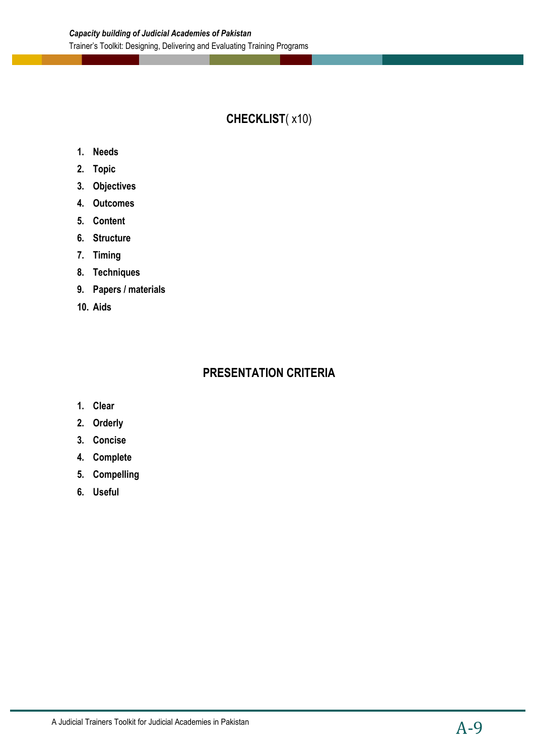## **CHECKLIST**( x10)

- **1. Needs**
- **2. Topic**
- **3. Objectives**
- **4. Outcomes**
- **5. Content**
- **6. Structure**
- **7. Timing**
- **8. Techniques**
- **9. Papers / materials**
- **10. Aids**

## **PRESENTATION CRITERIA**

- **1. Clear**
- **2. Orderly**
- **3. Concise**
- **4. Complete**
- **5. Compelling**
- **6. Useful**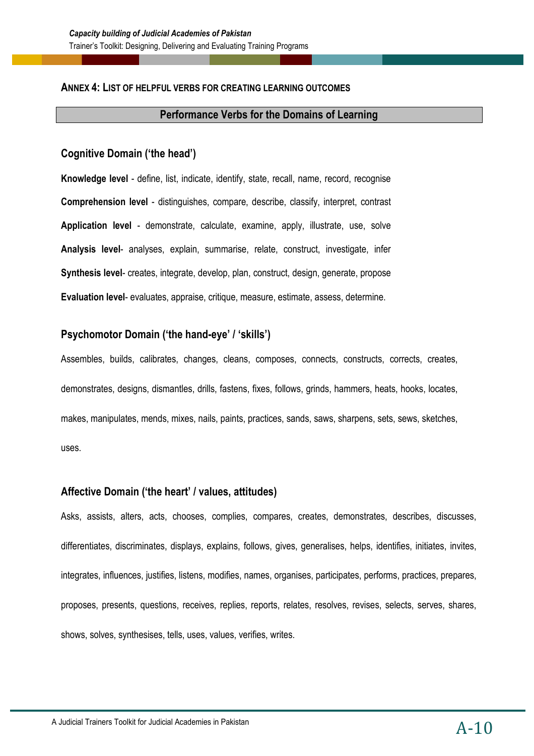#### **ANNEX 4: LIST OF HELPFUL VERBS FOR CREATING LEARNING OUTCOMES**

#### **Performance Verbs for the Domains of Learning**

#### **Cognitive Domain ('the head')**

**Knowledge level** - define, list, indicate, identify, state, recall, name, record, recognise **Comprehension level** - distinguishes, compare, describe, classify, interpret, contrast **Application level** - demonstrate, calculate, examine, apply, illustrate, use, solve **Analysis level**- analyses, explain, summarise, relate, construct, investigate, infer **Synthesis level**- creates, integrate, develop, plan, construct, design, generate, propose **Evaluation level**- evaluates, appraise, critique, measure, estimate, assess, determine.

#### **Psychomotor Domain ('the hand-eye' / 'skills')**

Assembles, builds, calibrates, changes, cleans, composes, connects, constructs, corrects, creates, demonstrates, designs, dismantles, drills, fastens, fixes, follows, grinds, hammers, heats, hooks, locates, makes, manipulates, mends, mixes, nails, paints, practices, sands, saws, sharpens, sets, sews, sketches, uses.

#### **Affective Domain ('the heart' / values, attitudes)**

Asks, assists, alters, acts, chooses, complies, compares, creates, demonstrates, describes, discusses, differentiates, discriminates, displays, explains, follows, gives, generalises, helps, identifies, initiates, invites, integrates, influences, justifies, listens, modifies, names, organises, participates, performs, practices, prepares, proposes, presents, questions, receives, replies, reports, relates, resolves, revises, selects, serves, shares, shows, solves, synthesises, tells, uses, values, verifies, writes.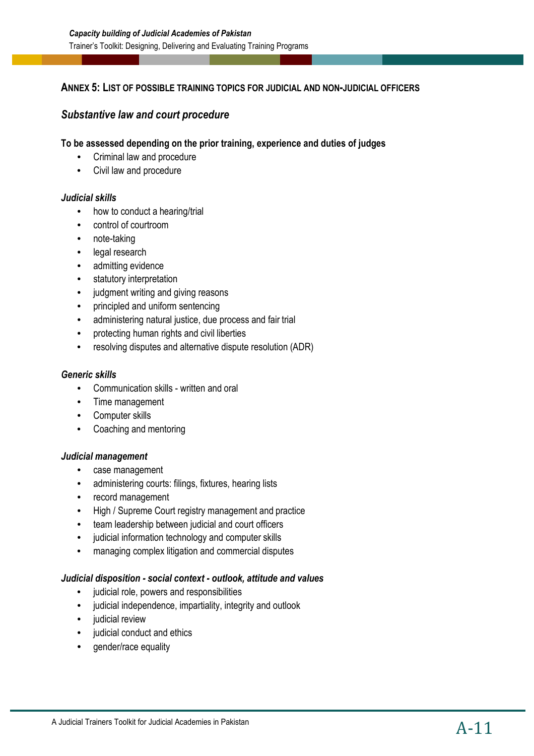#### **ANNEX 5: LIST OF POSSIBLE TRAINING TOPICS FOR JUDICIAL AND NON-JUDICIAL OFFICERS**

#### *Substantive law and court procedure*

#### **To be assessed depending on the prior training, experience and duties of judges**

- Criminal law and procedure
- Civil law and procedure

#### *Judicial skills*

- how to conduct a hearing/trial
- control of courtroom
- note-taking
- legal research
- admitting evidence
- statutory interpretation
- judgment writing and giving reasons
- principled and uniform sentencing
- administering natural justice, due process and fair trial
- protecting human rights and civil liberties
- resolving disputes and alternative dispute resolution (ADR)

#### *Generic skills*

- Communication skills written and oral
- Time management
- Computer skills
- Coaching and mentoring

#### *Judicial management*

- case management
- administering courts: filings, fixtures, hearing lists
- record management
- High / Supreme Court registry management and practice
- team leadership between judicial and court officers
- judicial information technology and computer skills
- managing complex litigation and commercial disputes

#### *Judicial disposition - social context - outlook, attitude and values*

- judicial role, powers and responsibilities
- judicial independence, impartiality, integrity and outlook
- judicial review
- judicial conduct and ethics
- gender/race equality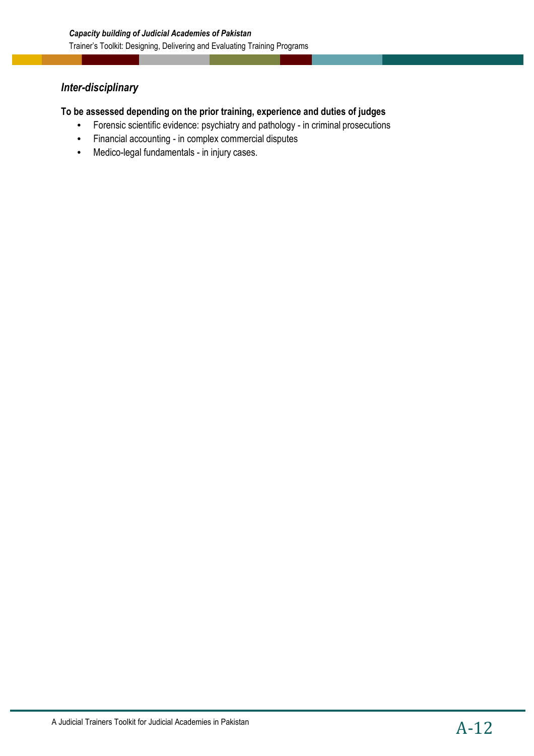## *Inter-disciplinary*

#### **To be assessed depending on the prior training, experience and duties of judges**

- Forensic scientific evidence: psychiatry and pathology in criminal prosecutions
- Financial accounting in complex commercial disputes
- Medico-legal fundamentals in injury cases.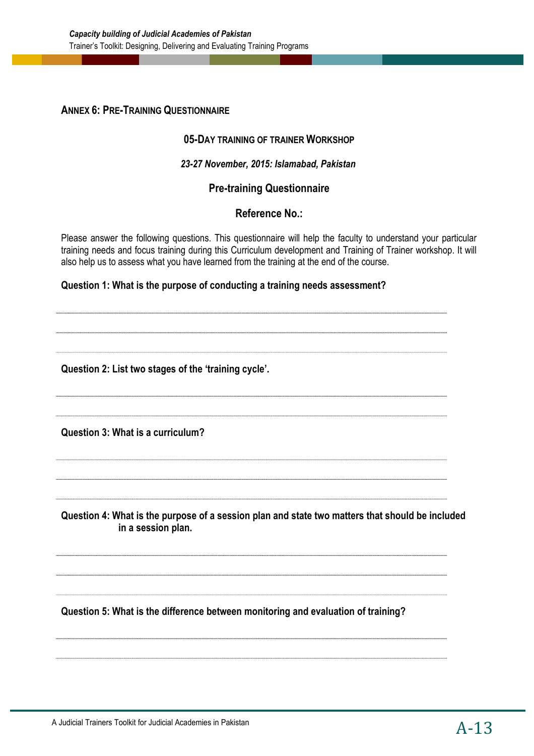#### **ANNEX 6: PRE-TRAINING QUESTIONNAIRE**

#### **05-DAY TRAINING OF TRAINER WORKSHOP**

#### *23-27 November, 2015: Islamabad, Pakistan*

#### **Pre-training Questionnaire**

#### **Reference No.:**

Please answer the following questions. This questionnaire will help the faculty to understand your particular training needs and focus training during this Curriculum development and Training of Trainer workshop. It will also help us to assess what you have learned from the training at the end of the course.

#### **Question 1: What is the purpose of conducting a training needs assessment?**

**Question 2: List two stages of the 'training cycle'. Question 3: What is a curriculum? Question 4: What is the purpose of a session plan and state two matters that should be included in a session plan. Question 5: What is the difference between monitoring and evaluation of training?**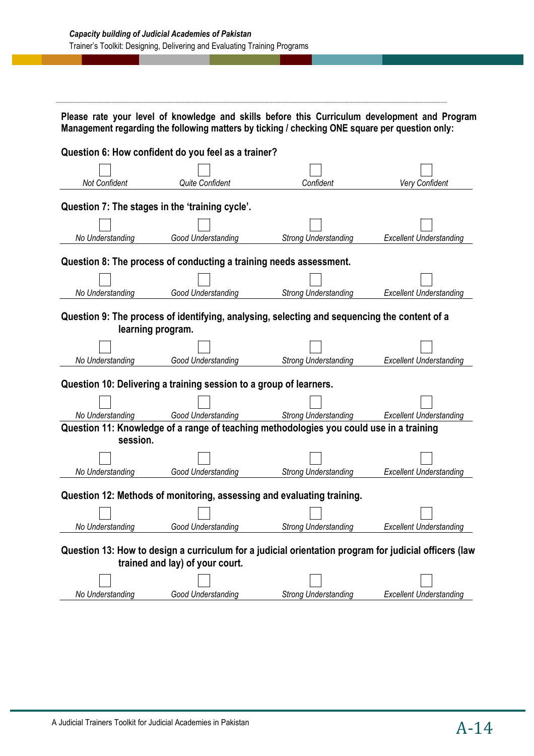|                      |                                                                        | Please rate your level of knowledge and skills before this Curriculum development and Program<br>Management regarding the following matters by ticking / checking ONE square per question only: |                                |
|----------------------|------------------------------------------------------------------------|-------------------------------------------------------------------------------------------------------------------------------------------------------------------------------------------------|--------------------------------|
|                      | Question 6: How confident do you feel as a trainer?                    |                                                                                                                                                                                                 |                                |
|                      |                                                                        |                                                                                                                                                                                                 |                                |
| <b>Not Confident</b> | Quite Confident                                                        | Confident                                                                                                                                                                                       | Very Confident                 |
|                      | Question 7: The stages in the 'training cycle'.                        |                                                                                                                                                                                                 |                                |
|                      |                                                                        |                                                                                                                                                                                                 |                                |
| No Understanding     | Good Understanding                                                     | <b>Strong Understanding</b>                                                                                                                                                                     | <b>Excellent Understanding</b> |
|                      |                                                                        |                                                                                                                                                                                                 |                                |
|                      | Question 8: The process of conducting a training needs assessment.     |                                                                                                                                                                                                 |                                |
|                      |                                                                        |                                                                                                                                                                                                 |                                |
| No Understanding     | Good Understanding                                                     | <b>Strong Understanding</b>                                                                                                                                                                     | <b>Excellent Understanding</b> |
|                      | learning program.                                                      | Question 9: The process of identifying, analysing, selecting and sequencing the content of a                                                                                                    |                                |
|                      |                                                                        |                                                                                                                                                                                                 |                                |
| No Understanding     | Good Understanding                                                     | <b>Strong Understanding</b>                                                                                                                                                                     | <b>Excellent Understanding</b> |
|                      | Question 10: Delivering a training session to a group of learners.     |                                                                                                                                                                                                 |                                |
|                      |                                                                        |                                                                                                                                                                                                 |                                |
| No Understanding     | Good Understanding                                                     | <b>Strong Understanding</b>                                                                                                                                                                     | <b>Excellent Understanding</b> |
|                      |                                                                        | Question 11: Knowledge of a range of teaching methodologies you could use in a training                                                                                                         |                                |
| session.             |                                                                        |                                                                                                                                                                                                 |                                |
|                      |                                                                        |                                                                                                                                                                                                 |                                |
| No Understanding     | Good Understanding                                                     | <b>Strong Understanding</b>                                                                                                                                                                     | <b>Excellent Understanding</b> |
|                      | Question 12: Methods of monitoring, assessing and evaluating training. |                                                                                                                                                                                                 |                                |
|                      |                                                                        |                                                                                                                                                                                                 |                                |
| No Understanding     | Good Understanding                                                     | <b>Strong Understanding</b>                                                                                                                                                                     | <b>Excellent Understanding</b> |
|                      | trained and lay) of your court.                                        | Question 13: How to design a curriculum for a judicial orientation program for judicial officers (law                                                                                           |                                |
|                      |                                                                        |                                                                                                                                                                                                 |                                |
| No Understanding     | Good Understanding                                                     | <b>Strong Understanding</b>                                                                                                                                                                     | <b>Excellent Understanding</b> |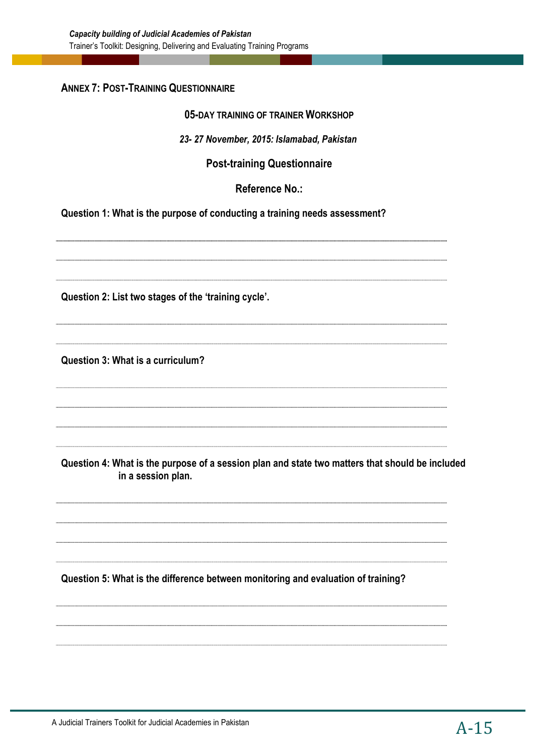#### **ANNEX 7: POST-TRAINING QUESTIONNAIRE**

#### **05-DAY TRAINING OF TRAINER WORKSHOP**

#### *23- 27 November, 2015: Islamabad, Pakistan*

#### **Post-training Questionnaire**

#### **Reference No.:**

**Question 1: What is the purpose of conducting a training needs assessment?** 

**Question 2: List two stages of the 'training cycle'. Question 3: What is a curriculum? Question 4: What is the purpose of a session plan and state two matters that should be included in a session plan.** 

**Question 5: What is the difference between monitoring and evaluation of training?**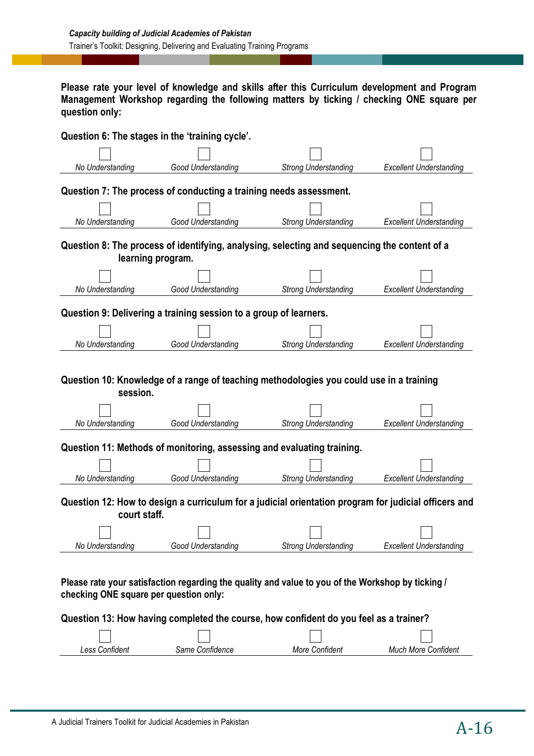**Please rate your level of knowledge and skills after this Curriculum development and Program Management Workshop regarding the following matters by ticking / checking ONE square per question only:** 

|                                        | Question 6: The stages in the 'training cycle'.                        |                                                                                                      |                                |
|----------------------------------------|------------------------------------------------------------------------|------------------------------------------------------------------------------------------------------|--------------------------------|
| No Understanding                       | Good Understanding                                                     | <b>Strong Understanding</b>                                                                          | <b>Excellent Understanding</b> |
|                                        | Question 7: The process of conducting a training needs assessment.     |                                                                                                      |                                |
| No Understanding                       | Good Understanding                                                     | <b>Strong Understanding</b>                                                                          | <b>Excellent Understanding</b> |
| learning program.                      |                                                                        | Question 8: The process of identifying, analysing, selecting and sequencing the content of a         |                                |
| No Understanding                       | Good Understanding                                                     | <b>Strong Understanding</b>                                                                          | <b>Excellent Understanding</b> |
|                                        | Question 9: Delivering a training session to a group of learners.      |                                                                                                      |                                |
| No Understanding                       | Good Understanding                                                     | <b>Strong Understanding</b>                                                                          | <b>Excellent Understanding</b> |
| session.                               |                                                                        | Question 10: Knowledge of a range of teaching methodologies you could use in a training              |                                |
| No Understanding                       | Good Understanding                                                     | <b>Strong Understanding</b>                                                                          | <b>Excellent Understanding</b> |
|                                        | Question 11: Methods of monitoring, assessing and evaluating training. |                                                                                                      |                                |
| No Understanding                       | Good Understanding                                                     | <b>Strong Understanding</b>                                                                          | <b>Excellent Understanding</b> |
| court staff.                           |                                                                        | Question 12: How to design a curriculum for a judicial orientation program for judicial officers and |                                |
| No Understanding                       | Good Understanding                                                     | <b>Strong Understanding</b>                                                                          | <b>Excellent Understanding</b> |
| checking ONE square per question only: |                                                                        | Please rate your satisfaction regarding the quality and value to you of the Workshop by ticking /    |                                |
|                                        |                                                                        | Question 13: How having completed the course, how confident do you feel as a trainer?                |                                |
| Less Confident                         | Same Confidence                                                        | More Confident                                                                                       | <b>Much More Confident</b>     |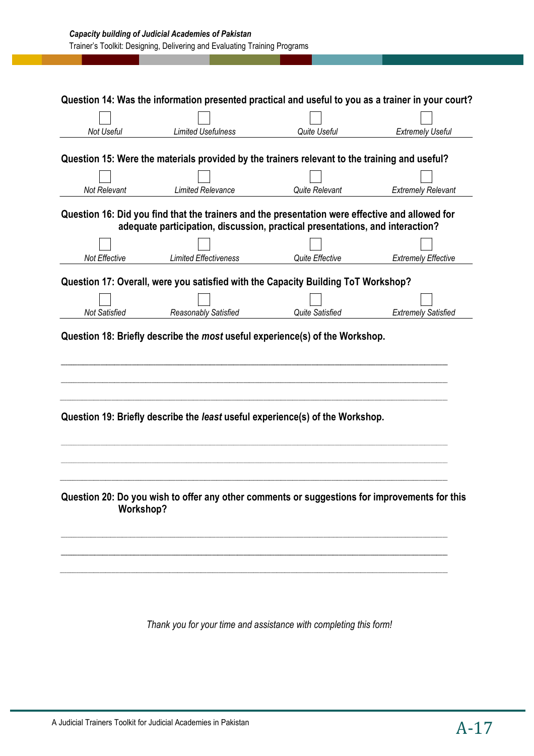| <b>Limited Usefulness</b><br><b>Limited Relevance</b> | <b>Quite Useful</b><br>Question 15: Were the materials provided by the trainers relevant to the training and useful?<br>Quite Relevant<br>Question 16: Did you find that the trainers and the presentation were effective and allowed for<br>adequate participation, discussion, practical presentations, and interaction? | <b>Extremely Useful</b><br><b>Extremely Relevant</b>                                                                                                                                                                                                                                                                                                |
|-------------------------------------------------------|----------------------------------------------------------------------------------------------------------------------------------------------------------------------------------------------------------------------------------------------------------------------------------------------------------------------------|-----------------------------------------------------------------------------------------------------------------------------------------------------------------------------------------------------------------------------------------------------------------------------------------------------------------------------------------------------|
|                                                       |                                                                                                                                                                                                                                                                                                                            |                                                                                                                                                                                                                                                                                                                                                     |
|                                                       |                                                                                                                                                                                                                                                                                                                            |                                                                                                                                                                                                                                                                                                                                                     |
|                                                       |                                                                                                                                                                                                                                                                                                                            |                                                                                                                                                                                                                                                                                                                                                     |
|                                                       |                                                                                                                                                                                                                                                                                                                            |                                                                                                                                                                                                                                                                                                                                                     |
|                                                       |                                                                                                                                                                                                                                                                                                                            |                                                                                                                                                                                                                                                                                                                                                     |
|                                                       |                                                                                                                                                                                                                                                                                                                            |                                                                                                                                                                                                                                                                                                                                                     |
| <b>Limited Effectiveness</b>                          | Quite Effective                                                                                                                                                                                                                                                                                                            | <b>Extremely Effective</b>                                                                                                                                                                                                                                                                                                                          |
|                                                       |                                                                                                                                                                                                                                                                                                                            |                                                                                                                                                                                                                                                                                                                                                     |
|                                                       |                                                                                                                                                                                                                                                                                                                            |                                                                                                                                                                                                                                                                                                                                                     |
|                                                       | Quite Satisfied                                                                                                                                                                                                                                                                                                            | <b>Extremely Satisfied</b>                                                                                                                                                                                                                                                                                                                          |
|                                                       |                                                                                                                                                                                                                                                                                                                            |                                                                                                                                                                                                                                                                                                                                                     |
|                                                       |                                                                                                                                                                                                                                                                                                                            |                                                                                                                                                                                                                                                                                                                                                     |
|                                                       |                                                                                                                                                                                                                                                                                                                            |                                                                                                                                                                                                                                                                                                                                                     |
|                                                       | Reasonably Satisfied                                                                                                                                                                                                                                                                                                       | Question 17: Overall, were you satisfied with the Capacity Building ToT Workshop?<br>Question 18: Briefly describe the most useful experience(s) of the Workshop.<br>Question 19: Briefly describe the least useful experience(s) of the Workshop.<br>Question 20: Do you wish to offer any other comments or suggestions for improvements for this |

*Thank you for your time and assistance with completing this form!*